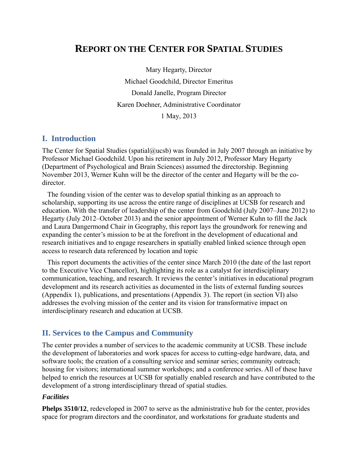# **REPORT ON THE CENTER FOR SPATIAL STUDIES**

Mary Hegarty, Director Michael Goodchild, Director Emeritus Donald Janelle, Program Director Karen Doehner, Administrative Coordinator 1 May, 2013

## **I. Introduction**

The Center for Spatial Studies (spatial  $Qucsb$ ) was founded in July 2007 through an initiative by Professor Michael Goodchild. Upon his retirement in July 2012, Professor Mary Hegarty (Department of Psychological and Brain Sciences) assumed the directorship. Beginning November 2013, Werner Kuhn will be the director of the center and Hegarty will be the codirector.

 The founding vision of the center was to develop spatial thinking as an approach to scholarship, supporting its use across the entire range of disciplines at UCSB for research and education. With the transfer of leadership of the center from Goodchild (July 2007–June 2012) to Hegarty (July 2012–October 2013) and the senior appointment of Werner Kuhn to fill the Jack and Laura Dangermond Chair in Geography, this report lays the groundwork for renewing and expanding the center's mission to be at the forefront in the development of educational and research initiatives and to engage researchers in spatially enabled linked science through open access to research data referenced by location and topic

 This report documents the activities of the center since March 2010 (the date of the last report to the Executive Vice Chancellor), highlighting its role as a catalyst for interdisciplinary communication, teaching, and research. It reviews the center's initiatives in educational program development and its research activities as documented in the lists of external funding sources (Appendix 1), publications, and presentations (Appendix 3). The report (in section VI) also addresses the evolving mission of the center and its vision for transformative impact on interdisciplinary research and education at UCSB.

## **II. Services to the Campus and Community**

The center provides a number of services to the academic community at UCSB. These include the development of laboratories and work spaces for access to cutting-edge hardware, data, and software tools; the creation of a consulting service and seminar series; community outreach; housing for visitors; international summer workshops; and a conference series. All of these have helped to enrich the resources at UCSB for spatially enabled research and have contributed to the development of a strong interdisciplinary thread of spatial studies.

#### *Facilities*

**Phelps 3510/12**, redeveloped in 2007 to serve as the administrative hub for the center, provides space for program directors and the coordinator, and workstations for graduate students and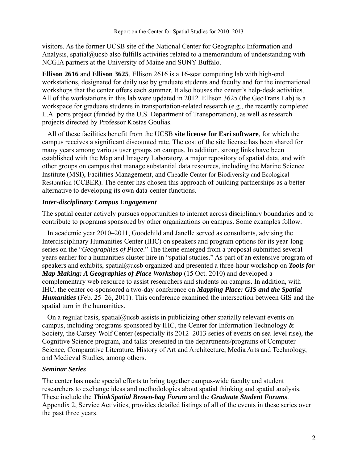visitors. As the former UCSB site of the National Center for Geographic Information and Analysis, spatial@ucsb also fulfills activities related to a memorandum of understanding with NCGIA partners at the University of Maine and SUNY Buffalo.

**Ellison 2616** and **Ellison 3625**. Ellison 2616 is a 16-seat computing lab with high-end workstations, designated for daily use by graduate students and faculty and for the international workshops that the center offers each summer. It also houses the center's help-desk activities. All of the workstations in this lab were updated in 2012. Ellison 3625 (the GeoTrans Lab) is a workspace for graduate students in transportation-related research (e.g., the recently completed L.A. ports project (funded by the U.S. Department of Transportation), as well as research projects directed by Professor Kostas Goulias.

 All of these facilities benefit from the UCSB **site license for Esri software**, for which the campus receives a significant discounted rate. The cost of the site license has been shared for many years among various user groups on campus. In addition, strong links have been established with the Map and Imagery Laboratory, a major repository of spatial data, and with other groups on campus that manage substantial data resources, including the Marine Science Institute (MSI), Facilities Management, and Cheadle Center for Biodiversity and Ecological Restoration (CCBER). The center has chosen this approach of building partnerships as a better alternative to developing its own data-center functions.

#### *Inter-disciplinary Campus Engagement*

The spatial center actively pursues opportunities to interact across disciplinary boundaries and to contribute to programs sponsored by other organizations on campus. Some examples follow.

 In academic year 2010–2011, Goodchild and Janelle served as consultants, advising the Interdisciplinary Humanities Center (IHC) on speakers and program options for its year-long series on the "*Geographies of Place*." The theme emerged from a proposal submitted several years earlier for a humanities cluster hire in "spatial studies." As part of an extensive program of speakers and exhibits, spatial@ucsb organized and presented a three-hour workshop on *Tools for Map Making: A Geographies of Place Workshop* (15 Oct. 2010) and developed a complementary web resource to assist researchers and students on campus. In addition, with IHC, the center co-sponsored a two-day conference on *Mapping Place: GIS and the Spatial Humanities* (Feb. 25–26, 2011). This conference examined the intersection between GIS and the spatial turn in the humanities.

On a regular basis, spatial@ucsb assists in publicizing other spatially relevant events on campus, including programs sponsored by IHC, the Center for Information Technology & Society, the Carsey-Wolf Center (especially its 2012–2013 series of events on sea-level rise), the Cognitive Science program, and talks presented in the departments/programs of Computer Science, Comparative Literature, History of Art and Architecture, Media Arts and Technology, and Medieval Studies, among others.

#### *Seminar Series*

The center has made special efforts to bring together campus-wide faculty and student researchers to exchange ideas and methodologies about spatial thinking and spatial analysis. These include the *ThinkSpatial Brown-bag Forum* and the *Graduate Student Forums*. Appendix 2, Service Activities, provides detailed listings of all of the events in these series over the past three years.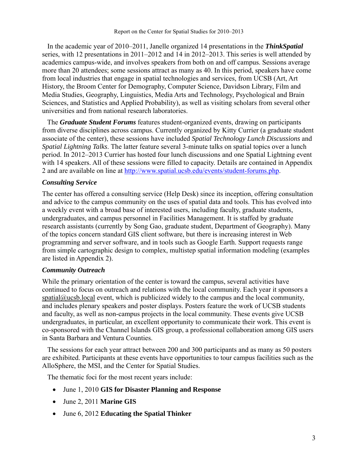In the academic year of 2010–2011, Janelle organized 14 presentations in the *ThinkSpatial* series, with 12 presentations in 2011–2012 and 14 in 2012–2013. This series is well attended by academics campus-wide, and involves speakers from both on and off campus. Sessions average more than 20 attendees; some sessions attract as many as 40. In this period, speakers have come from local industries that engage in spatial technologies and services, from UCSB (Art, Art History, the Broom Center for Demography, Computer Science, Davidson Library, Film and Media Studies, Geography, Linguistics, Media Arts and Technology, Psychological and Brain Sciences, and Statistics and Applied Probability), as well as visiting scholars from several other universities and from national research laboratories.

 The *Graduate Student Forums* features student-organized events, drawing on participants from diverse disciplines across campus. Currently organized by Kitty Currier (a graduate student associate of the center), these sessions have included *Spatial Technology Lunch Discussions* and *Spatial Lightning Talks*. The latter feature several 3-minute talks on spatial topics over a lunch period. In 2012–2013 Currier has hosted four lunch discussions and one Spatial Lightning event with 14 speakers. All of these sessions were filled to capacity. Details are contained in Appendix 2 and are available on line at http://www.spatial.ucsb.edu/events/student-forums.php.

## *Consulting Service*

The center has offered a consulting service (Help Desk) since its inception, offering consultation and advice to the campus community on the uses of spatial data and tools. This has evolved into a weekly event with a broad base of interested users, including faculty, graduate students, undergraduates, and campus personnel in Facilities Management. It is staffed by graduate research assistants (currently by Song Gao, graduate student, Department of Geography). Many of the topics concern standard GIS client software, but there is increasing interest in Web programming and server software, and in tools such as Google Earth. Support requests range from simple cartographic design to complex, multistep spatial information modeling (examples are listed in Appendix 2).

## *Community Outreach*

While the primary orientation of the center is toward the campus, several activities have continued to focus on outreach and relations with the local community. Each year it sponsors a  $spatial@ucsb, local event, which is publicized widely to the campus and the local community,$ and includes plenary speakers and poster displays. Posters feature the work of UCSB students and faculty, as well as non-campus projects in the local community. These events give UCSB undergraduates, in particular, an excellent opportunity to communicate their work. This event is co-sponsored with the Channel Islands GIS group, a professional collaboration among GIS users in Santa Barbara and Ventura Counties.

 The sessions for each year attract between 200 and 300 participants and as many as 50 posters are exhibited. Participants at these events have opportunities to tour campus facilities such as the AlloSphere, the MSI, and the Center for Spatial Studies.

The thematic foci for the most recent years include:

- June 1, 2010 **GIS for Disaster Planning and Response**
- June 2, 2011 **Marine GIS**
- June 6, 2012 **Educating the Spatial Thinker**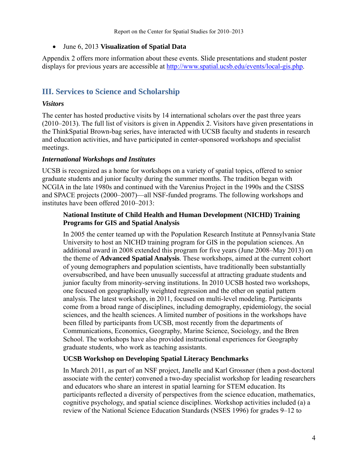June 6, 2013 **Visualization of Spatial Data**

Appendix 2 offers more information about these events. Slide presentations and student poster displays for previous years are accessible at http://www.spatial.ucsb.edu/events/local-gis.php.

## **III. Services to Science and Scholarship**

#### *Visitors*

The center has hosted productive visits by 14 international scholars over the past three years (2010–2013). The full list of visitors is given in Appendix 2. Visitors have given presentations in the ThinkSpatial Brown-bag series, have interacted with UCSB faculty and students in research and education activities, and have participated in center-sponsored workshops and specialist meetings.

#### *International Workshops and Institutes*

UCSB is recognized as a home for workshops on a variety of spatial topics, offered to senior graduate students and junior faculty during the summer months. The tradition began with NCGIA in the late 1980s and continued with the Varenius Project in the 1990s and the CSISS and SPACE projects (2000–2007)—all NSF-funded programs. The following workshops and institutes have been offered 2010–2013:

#### **National Institute of Child Health and Human Development (NICHD) Training Programs for GIS and Spatial Analysis**

In 2005 the center teamed up with the Population Research Institute at Pennsylvania State University to host an NICHD training program for GIS in the population sciences. An additional award in 2008 extended this program for five years (June 2008–May 2013) on the theme of **Advanced Spatial Analysis**. These workshops, aimed at the current cohort of young demographers and population scientists, have traditionally been substantially oversubscribed, and have been unusually successful at attracting graduate students and junior faculty from minority-serving institutions. In 2010 UCSB hosted two workshops, one focused on geographically weighted regression and the other on spatial pattern analysis. The latest workshop, in 2011, focused on multi-level modeling. Participants come from a broad range of disciplines, including demography, epidemiology, the social sciences, and the health sciences. A limited number of positions in the workshops have been filled by participants from UCSB, most recently from the departments of Communications, Economics, Geography, Marine Science, Sociology, and the Bren School. The workshops have also provided instructional experiences for Geography graduate students, who work as teaching assistants.

## **UCSB Workshop on Developing Spatial Literacy Benchmarks**

In March 2011, as part of an NSF project, Janelle and Karl Grossner (then a post-doctoral associate with the center) convened a two-day specialist workshop for leading researchers and educators who share an interest in spatial learning for STEM education. Its participants reflected a diversity of perspectives from the science education, mathematics, cognitive psychology, and spatial science disciplines. Workshop activities included (a) a review of the National Science Education Standards (NSES 1996) for grades 9–12 to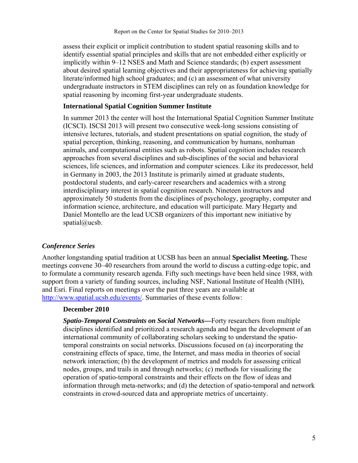assess their explicit or implicit contribution to student spatial reasoning skills and to identify essential spatial principles and skills that are not embedded either explicitly or implicitly within 9–12 NSES and Math and Science standards; (b) expert assessment about desired spatial learning objectives and their appropriateness for achieving spatially literate/informed high school graduates; and (c) an assessment of what university undergraduate instructors in STEM disciplines can rely on as foundation knowledge for spatial reasoning by incoming first-year undergraduate students.

## **International Spatial Cognition Summer Institute**

In summer 2013 the center will host the International Spatial Cognition Summer Institute (ICSCI). ISCSI 2013 will present two consecutive week-long sessions consisting of intensive lectures, tutorials, and student presentations on spatial cognition, the study of spatial perception, thinking, reasoning, and communication by humans, nonhuman animals, and computational entities such as robots. Spatial cognition includes research approaches from several disciplines and sub-disciplines of the social and behavioral sciences, life sciences, and information and computer sciences. Like its predecessor, held in Germany in 2003, the 2013 Institute is primarily aimed at graduate students, postdoctoral students, and early-career researchers and academics with a strong interdisciplinary interest in spatial cognition research. Nineteen instructors and approximately 50 students from the disciplines of psychology, geography, computer and information science, architecture, and education will participate. Mary Hegarty and Daniel Montello are the lead UCSB organizers of this important new initiative by spatial@ucsb.

## *Conference Series*

Another longstanding spatial tradition at UCSB has been an annual **Specialist Meeting.** These meetings convene 30–40 researchers from around the world to discuss a cutting-edge topic, and to formulate a community research agenda. Fifty such meetings have been held since 1988, with support from a variety of funding sources, including NSF, National Institute of Health (NIH), and Esri. Final reports on meetings over the past three years are available at http://www.spatial.ucsb.edu/events/. Summaries of these events follow:

#### **December 2010**

*Spatio-Temporal Constraints on Social Networks—*Forty researchers from multiple disciplines identified and prioritized a research agenda and began the development of an international community of collaborating scholars seeking to understand the spatiotemporal constraints on social networks. Discussions focused on (a) incorporating the constraining effects of space, time, the Internet, and mass media in theories of social network interaction; (b) the development of metrics and models for assessing critical nodes, groups, and trails in and through networks; (c) methods for visualizing the operation of spatio-temporal constraints and their effects on the flow of ideas and information through meta-networks; and (d) the detection of spatio-temporal and network constraints in crowd-sourced data and appropriate metrics of uncertainty.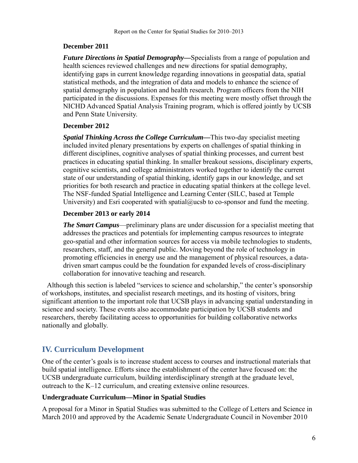## **December 2011**

*Future Directions in Spatial Demography—*Specialists from a range of population and health sciences reviewed challenges and new directions for spatial demography, identifying gaps in current knowledge regarding innovations in geospatial data, spatial statistical methods, and the integration of data and models to enhance the science of spatial demography in population and health research. Program officers from the NIH participated in the discussions. Expenses for this meeting were mostly offset through the NICHD Advanced Spatial Analysis Training program, which is offered jointly by UCSB and Penn State University.

## **December 2012**

*Spatial Thinking Across the College Curriculum—*This two-day specialist meeting included invited plenary presentations by experts on challenges of spatial thinking in different disciplines, cognitive analyses of spatial thinking processes, and current best practices in educating spatial thinking. In smaller breakout sessions, disciplinary experts, cognitive scientists, and college administrators worked together to identify the current state of our understanding of spatial thinking, identify gaps in our knowledge, and set priorities for both research and practice in educating spatial thinkers at the college level. The NSF-funded Spatial Intelligence and Learning Center (SILC, based at Temple University) and Esri cooperated with spatial $@$ ucsb to co-sponsor and fund the meeting.

## **December 2013 or early 2014**

*The Smart Campus*—preliminary plans are under discussion for a specialist meeting that addresses the practices and potentials for implementing campus resources to integrate geo-spatial and other information sources for access via mobile technologies to students, researchers, staff, and the general public. Moving beyond the role of technology in promoting efficiencies in energy use and the management of physical resources, a datadriven smart campus could be the foundation for expanded levels of cross-disciplinary collaboration for innovative teaching and research.

 Although this section is labeled "services to science and scholarship," the center's sponsorship of workshops, institutes, and specialist research meetings, and its hosting of visitors, bring significant attention to the important role that UCSB plays in advancing spatial understanding in science and society. These events also accommodate participation by UCSB students and researchers, thereby facilitating access to opportunities for building collaborative networks nationally and globally.

## **IV. Curriculum Development**

One of the center's goals is to increase student access to courses and instructional materials that build spatial intelligence. Efforts since the establishment of the center have focused on: the UCSB undergraduate curriculum, building interdisciplinary strength at the graduate level, outreach to the K–12 curriculum, and creating extensive online resources.

## **Undergraduate Curriculum—Minor in Spatial Studies**

A proposal for a Minor in Spatial Studies was submitted to the College of Letters and Science in March 2010 and approved by the Academic Senate Undergraduate Council in November 2010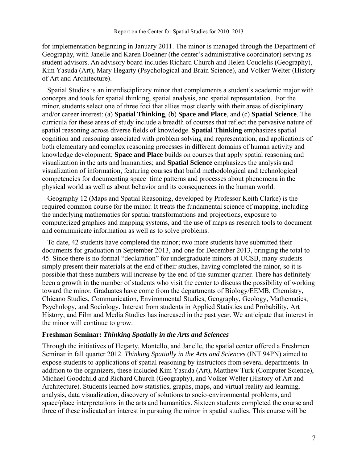for implementation beginning in January 2011. The minor is managed through the Department of Geography, with Janelle and Karen Doehner (the center's administrative coordinator) serving as student advisors. An advisory board includes Richard Church and Helen Couclelis (Geography), Kim Yasuda (Art), Mary Hegarty (Psychological and Brain Science), and Volker Welter (History of Art and Architecture).

 Spatial Studies is an interdisciplinary minor that complements a student's academic major with concepts and tools for spatial thinking, spatial analysis, and spatial representation. For the minor, students select one of three foci that allies most clearly with their areas of disciplinary and/or career interest: (a) **Spatial Thinking**, (b) **Space and Place**, and (c) **Spatial Science**. The curricula for these areas of study include a breadth of courses that reflect the pervasive nature of spatial reasoning across diverse fields of knowledge. **Spatial Thinking** emphasizes spatial cognition and reasoning associated with problem solving and representation, and applications of both elementary and complex reasoning processes in different domains of human activity and knowledge development; **Space and Place** builds on courses that apply spatial reasoning and visualization in the arts and humanities; and **Spatial Science** emphasizes the analysis and visualization of information, featuring courses that build methodological and technological competencies for documenting space–time patterns and processes about phenomena in the physical world as well as about behavior and its consequences in the human world.

 Geography 12 (Maps and Spatial Reasoning, developed by Professor Keith Clarke) is the required common course for the minor. It treats the fundamental science of mapping, including the underlying mathematics for spatial transformations and projections, exposure to computerized graphics and mapping systems, and the use of maps as research tools to document and communicate information as well as to solve problems.

 To date, 42 students have completed the minor; two more students have submitted their documents for graduation in September 2013, and one for December 2013, bringing the total to 45. Since there is no formal "declaration" for undergraduate minors at UCSB, many students simply present their materials at the end of their studies, having completed the minor, so it is possible that these numbers will increase by the end of the summer quarter. There has definitely been a growth in the number of students who visit the center to discuss the possibility of working toward the minor. Graduates have come from the departments of Biology/EEMB, Chemistry, Chicano Studies, Communication, Environmental Studies, Geography, Geology, Mathematics, Psychology, and Sociology. Interest from students in Applied Statistics and Probability, Art History, and Film and Media Studies has increased in the past year. We anticipate that interest in the minor will continue to grow.

#### **Freshman Seminar:** *Thinking Spatially in the Arts and Sciences*

Through the initiatives of Hegarty, Montello, and Janelle, the spatial center offered a Freshmen Seminar in fall quarter 2012. *Thinking Spatially in the Arts and Sciences* (INT 94PN) aimed to expose students to applications of spatial reasoning by instructors from several departments. In addition to the organizers, these included Kim Yasuda (Art), Matthew Turk (Computer Science), Michael Goodchild and Richard Church (Geography), and Volker Welter (History of Art and Architecture). Students learned how statistics, graphs, maps, and virtual reality aid learning, analysis, data visualization, discovery of solutions to socio‐environmental problems, and space/place interpretations in the arts and humanities. Sixteen students completed the course and three of these indicated an interest in pursuing the minor in spatial studies. This course will be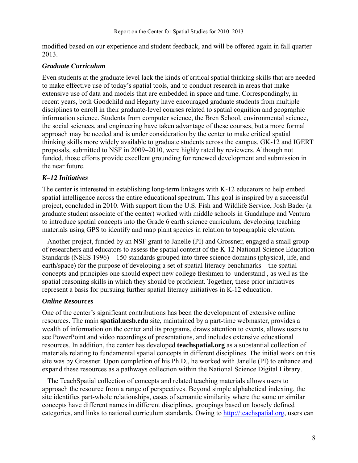modified based on our experience and student feedback, and will be offered again in fall quarter 2013.

#### *Graduate Curriculum*

Even students at the graduate level lack the kinds of critical spatial thinking skills that are needed to make effective use of today's spatial tools, and to conduct research in areas that make extensive use of data and models that are embedded in space and time. Correspondingly, in recent years, both Goodchild and Hegarty have encouraged graduate students from multiple disciplines to enroll in their graduate-level courses related to spatial cognition and geographic information science. Students from computer science, the Bren School, environmental science, the social sciences, and engineering have taken advantage of these courses, but a more formal approach may be needed and is under consideration by the center to make critical spatial thinking skills more widely available to graduate students across the campus. GK-12 and IGERT proposals, submitted to NSF in 2009–2010, were highly rated by reviewers. Although not funded, those efforts provide excellent grounding for renewed development and submission in the near future.

#### *K–12 Initiatives*

The center is interested in establishing long-term linkages with K-12 educators to help embed spatial intelligence across the entire educational spectrum. This goal is inspired by a successful project, concluded in 2010. With support from the U.S. Fish and Wildlife Service, Josh Bader (a graduate student associate of the center) worked with middle schools in Guadalupe and Ventura to introduce spatial concepts into the Grade 6 earth science curriculum, developing teaching materials using GPS to identify and map plant species in relation to topographic elevation.

 Another project, funded by an NSF grant to Janelle (PI) and Grossner, engaged a small group of researchers and educators to assess the spatial content of the K-12 National Science Education Standards (NSES 1996)—150 standards grouped into three science domains (physical, life, and earth/space) for the purpose of developing a set of spatial literacy benchmarks—the spatial concepts and principles one should expect new college freshmen to understand , as well as the spatial reasoning skills in which they should be proficient. Together, these prior initiatives represent a basis for pursuing further spatial literacy initiatives in K-12 education.

#### *Online Resources*

One of the center's significant contributions has been the development of extensive online resources. The main **spatial.ucsb.edu** site, maintained by a part-time webmaster, provides a wealth of information on the center and its programs, draws attention to events, allows users to see PowerPoint and video recordings of presentations, and includes extensive educational resources. In addition, the center has developed **teachspatial.org** as a substantial collection of materials relating to fundamental spatial concepts in different disciplines. The initial work on this site was by Grossner. Upon completion of his Ph.D., he worked with Janelle (PI) to enhance and expand these resources as a pathways collection within the National Science Digital Library.

 The TeachSpatial collection of concepts and related teaching materials allows users to approach the resource from a range of perspectives. Beyond simple alphabetical indexing, the site identifies part-whole relationships, cases of semantic similarity where the same or similar concepts have different names in different disciplines, groupings based on loosely defined categories, and links to national curriculum standards. Owing to http://teachspatial.org, users can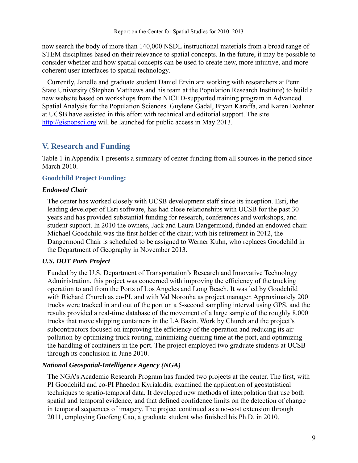now search the body of more than 140,000 NSDL instructional materials from a broad range of STEM disciplines based on their relevance to spatial concepts. In the future, it may be possible to consider whether and how spatial concepts can be used to create new, more intuitive, and more coherent user interfaces to spatial technology.

 Currently, Janelle and graduate student Daniel Ervin are working with researchers at Penn State University (Stephen Matthews and his team at the Population Research Institute) to build a new website based on workshops from the NICHD-supported training program in Advanced Spatial Analysis for the Population Sciences. Guylene Gadal, Bryan Karaffa, and Karen Doehner at UCSB have assisted in this effort with technical and editorial support. The site http://gispopsci.org will be launched for public access in May 2013.

## **V. Research and Funding**

Table 1 in Appendix 1 presents a summary of center funding from all sources in the period since March 2010.

## **Goodchild Project Funding:**

## *Endowed Chair*

The center has worked closely with UCSB development staff since its inception. Esri, the leading developer of Esri software, has had close relationships with UCSB for the past 30 years and has provided substantial funding for research, conferences and workshops, and student support. In 2010 the owners, Jack and Laura Dangermond, funded an endowed chair. Michael Goodchild was the first holder of the chair; with his retirement in 2012, the Dangermond Chair is scheduled to be assigned to Werner Kuhn, who replaces Goodchild in the Department of Geography in November 2013.

## *U.S. DOT Ports Project*

Funded by the U.S. Department of Transportation's Research and Innovative Technology Administration, this project was concerned with improving the efficiency of the trucking operation to and from the Ports of Los Angeles and Long Beach. It was led by Goodchild with Richard Church as co-PI, and with Val Noronha as project manager. Approximately 200 trucks were tracked in and out of the port on a 5-second sampling interval using GPS, and the results provided a real-time database of the movement of a large sample of the roughly 8,000 trucks that move shipping containers in the LA Basin. Work by Church and the project's subcontractors focused on improving the efficiency of the operation and reducing its air pollution by optimizing truck routing, minimizing queuing time at the port, and optimizing the handling of containers in the port. The project employed two graduate students at UCSB through its conclusion in June 2010.

## *National Geospatial-Intelligence Agency (NGA)*

The NGA's Academic Research Program has funded two projects at the center. The first, with PI Goodchild and co-PI Phaedon Kyriakidis, examined the application of geostatistical techniques to spatio-temporal data. It developed new methods of interpolation that use both spatial and temporal evidence, and that defined confidence limits on the detection of change in temporal sequences of imagery. The project continued as a no-cost extension through 2011, employing Guofeng Cao, a graduate student who finished his Ph.D. in 2010.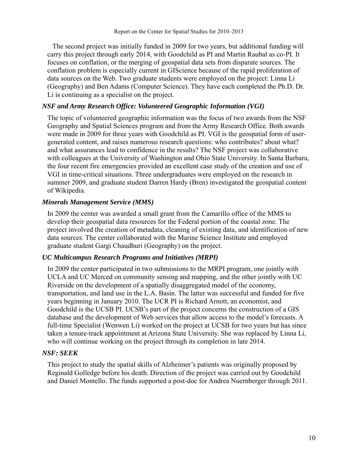The second project was initially funded in 2009 for two years, but additional funding will carry this project through early 2014, with Goodchild as PI and Martin Raubal as co-PI. It focuses on conflation, or the merging of geospatial data sets from disparate sources. The conflation problem is especially current in GIScience because of the rapid proliferation of data sources on the Web. Two graduate students were employed on the project: Linna Li (Geography) and Ben Adams (Computer Science). They have each completed the Ph.D. Dr. Li is continuing as a specialist on the project.

#### *NSF and Army Research Office: Volunteered Geographic Information (VGI)*

The topic of volunteered geographic information was the focus of two awards from the NSF Geography and Spatial Sciences program and from the Army Research Office. Both awards were made in 2009 for three years with Goodchild as PI. VGI is the geospatial form of usergenerated content, and raises numerous research questions: who contributes? about what? and what assurances lead to confidence in the results? The NSF project was collaborative with colleagues at the University of Washington and Ohio State University. In Santa Barbara, the four recent fire emergencies provided an excellent case study of the creation and use of VGI in time-critical situations. Three undergraduates were employed on the research in summer 2009, and graduate student Darren Hardy (Bren) investigated the geospatial content of Wikipedia.

#### *Minerals Management Service (MMS)*

In 2009 the center was awarded a small grant from the Camarillo office of the MMS to develop their geospatial data resources for the Federal portion of the coastal zone. The project involved the creation of metadata, cleaning of existing data, and identification of new data sources. The center collaborated with the Marine Science Institute and employed graduate student Gargi Chaudhuri (Geography) on the project.

#### *UC Multicampus Research Programs and Initiatives (MRPI)*

In 2009 the center participated in two submissions to the MRPI program, one jointly with UCLA and UC Merced on community sensing and mapping, and the other jointly with UC Riverside on the development of a spatially disaggregated model of the economy, transportation, and land use in the L.A. Basin. The latter was successful and funded for five years beginning in January 2010. The UCR PI is Richard Arnott, an economist, and Goodchild is the UCSB PI. UCSB's part of the project concerns the construction of a GIS database and the development of Web services that allow access to the model's forecasts. A full-time Specialist (Wenwen Li) worked on the project at UCSB for two years but has since taken a tenure-track appointment at Arizona State University. She was replaced by Linna Li, who will continue working on the project through its completion in late 2014.

#### *NSF: SEEK*

This project to study the spatial skills of Alzheimer's patients was originally proposed by Reginald Golledge before his death. Direction of the project was carried out by Goodchild and Daniel Montello. The funds supported a post-doc for Andrea Nuernberger through 2011.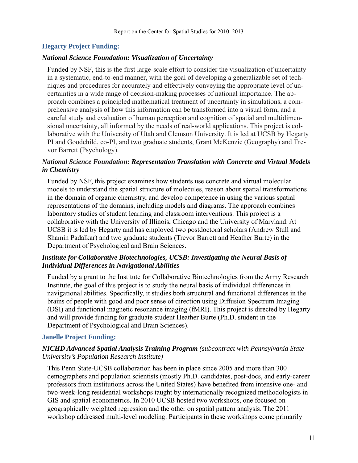## **Hegarty Project Funding:**

#### *National Science Foundation: Visualization of Uncertainty*

Funded by NSF, this is the first large-scale effort to consider the visualization of uncertainty in a systematic, end-to-end manner, with the goal of developing a generalizable set of techniques and procedures for accurately and effectively conveying the appropriate level of uncertainties in a wide range of decision-making processes of national importance. The approach combines a principled mathematical treatment of uncertainty in simulations, a comprehensive analysis of how this information can be transformed into a visual form, and a careful study and evaluation of human perception and cognition of spatial and multidimensional uncertainty, all informed by the needs of real-world applications. This project is collaborative with the University of Utah and Clemson University. It is led at UCSB by Hegarty PI and Goodchild, co-PI, and two graduate students, Grant McKenzie (Geography) and Trevor Barrett (Psychology).

#### *National Science Foundation: Representation Translation with Concrete and Virtual Models in Chemistry*

Funded by NSF, this project examines how students use concrete and virtual molecular models to understand the spatial structure of molecules, reason about spatial transformations in the domain of organic chemistry, and develop competence in using the various spatial representations of the domains, including models and diagrams. The approach combines laboratory studies of student learning and classroom interventions. This project is a collaborative with the University of Illinois, Chicago and the University of Maryland. At UCSB it is led by Hegarty and has employed two postdoctoral scholars (Andrew Stull and Shamin Padalkar) and two graduate students (Trevor Barrett and Heather Burte) in the Department of Psychological and Brain Sciences.

## *Institute for Collaborative Biotechnologies, UCSB: Investigating the Neural Basis of Individual Differences in Navigational Abilities*

Funded by a grant to the Institute for Collaborative Biotechnologies from the Army Research Institute, the goal of this project is to study the neural basis of individual differences in navigational abilities. Specifically, it studies both structural and functional differences in the brains of people with good and poor sense of direction using Diffusion Spectrum Imaging (DSI) and functional magnetic resonance imaging (fMRI). This project is directed by Hegarty and will provide funding for graduate student Heather Burte (Ph.D. student in the Department of Psychological and Brain Sciences).

## **Janelle Project Funding:**

## *NICHD Advanced Spatial Analysis Training Program (subcontract with Pennsylvania State University's Population Research Institute)*

This Penn State-UCSB collaboration has been in place since 2005 and more than 300 demographers and population scientists (mostly Ph.D. candidates, post-docs, and early-career professors from institutions across the United States) have benefited from intensive one- and two-week-long residential workshops taught by internationally recognized methodologists in GIS and spatial econometrics. In 2010 UCSB hosted two workshops, one focused on geographically weighted regression and the other on spatial pattern analysis. The 2011 workshop addressed multi-level modeling. Participants in these workshops come primarily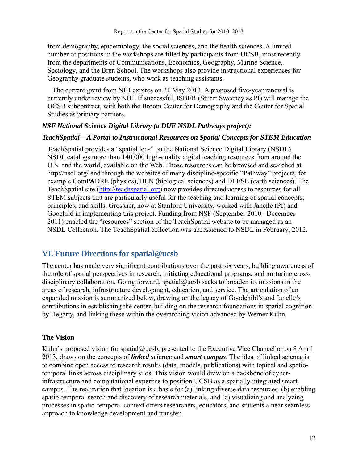from demography, epidemiology, the social sciences, and the health sciences. A limited number of positions in the workshops are filled by participants from UCSB, most recently from the departments of Communications, Economics, Geography, Marine Science, Sociology, and the Bren School. The workshops also provide instructional experiences for Geography graduate students, who work as teaching assistants.

 The current grant from NIH expires on 31 May 2013. A proposed five-year renewal is currently under review by NIH. If successful, ISBER (Stuart Sweeney as PI) will manage the UCSB subcontract, with both the Broom Center for Demography and the Center for Spatial Studies as primary partners.

#### *NSF National Science Digital Library (a DUE NSDL Pathways project):*

#### *TeachSpatial—A Portal to Instructional Resources on Spatial Concepts for STEM Education*

TeachSpatial provides a "spatial lens" on the National Science Digital Library (NSDL). NSDL catalogs more than 140,000 high-quality digital teaching resources from around the U.S. and the world, available on the Web. Those resources can be browsed and searched at http://nsdl.org/ and through the websites of many discipline-specific "Pathway" projects, for example ComPADRE (physics), BEN (biological sciences) and DLESE (earth sciences). The TeachSpatial site (http://teachspatial.org) now provides directed access to resources for all STEM subjects that are particularly useful for the teaching and learning of spatial concepts, principles, and skills. Grossner, now at Stanford University, worked with Janelle (PI) and Goochild in implementing this project. Funding from NSF (September 2010 –December 2011) enabled the "resources" section of the TeachSpatial website to be managed as an NSDL Collection. The TeachSpatial collection was accessioned to NSDL in February, 2012.

## **VI. Future Directions for spatial@ucsb**

The center has made very significant contributions over the past six years, building awareness of the role of spatial perspectives in research, initiating educational programs, and nurturing crossdisciplinary collaboration. Going forward, spatial@ucsb seeks to broaden its missions in the areas of research, infrastructure development, education, and service. The articulation of an expanded mission is summarized below, drawing on the legacy of Goodchild's and Janelle's contributions in establishing the center, building on the research foundations in spatial cognition by Hegarty, and linking these within the overarching vision advanced by Werner Kuhn.

#### **The Vision**

Kuhn's proposed vision for spatial@ucsb, presented to the Executive Vice Chancellor on 8 April 2013, draws on the concepts of *linked science* and *smart campus*. The idea of linked science is to combine open access to research results (data, models, publications) with topical and spatiotemporal links across disciplinary silos. This vision would draw on a backbone of cyberinfrastructure and computational expertise to position UCSB as a spatially integrated smart campus. The realization that location is a basis for (a) linking diverse data resources, (b) enabling spatio-temporal search and discovery of research materials, and (c) visualizing and analyzing processes in spatio-temporal context offers researchers, educators, and students a near seamless approach to knowledge development and transfer.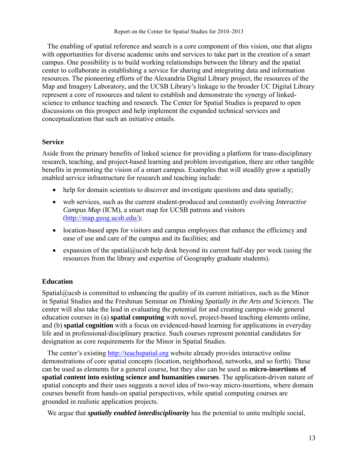The enabling of spatial reference and search is a core component of this vision, one that aligns with opportunities for diverse academic units and services to take part in the creation of a smart campus. One possibility is to build working relationships between the library and the spatial center to collaborate in establishing a service for sharing and integrating data and information resources. The pioneering efforts of the Alexandria Digital Library project, the resources of the Map and Imagery Laboratory, and the UCSB Library's linkage to the broader UC Digital Library represent a core of resources and talent to establish and demonstrate the synergy of linkedscience to enhance teaching and research. The Center for Spatial Studies is prepared to open discussions on this prospect and help implement the expanded technical services and conceptualization that such an initiative entails.

#### **Service**

Aside from the primary benefits of linked science for providing a platform for trans-disciplinary research, teaching, and project-based learning and problem investigation, there are other tangible benefits in promoting the vision of a smart campus. Examples that will steadily grow a spatially enabled service infrastructure for research and teaching include:

- help for domain scientists to discover and investigate questions and data spatially;
- web services, such as the current student-produced and constantly evolving *Interactive Campus Map* (ICM), a smart map for UCSB patrons and visitors (http://map.geog.ucsb.edu/);
- location-based apps for visitors and campus employees that enhance the efficiency and ease of use and care of the campus and its facilities; and
- expansion of the spatial@ucsb help desk beyond its current half-day per week (using the resources from the library and expertise of Geography graduate students).

## **Education**

Spatial $@$ ucsb is committed to enhancing the quality of its current initiatives, such as the Minor in Spatial Studies and the Freshman Seminar on *Thinking Spatially in the Arts and Sciences*. The center will also take the lead in evaluating the potential for and creating campus-wide general education courses in (a) **spatial computing** with novel, project-based teaching elements online, and (b) **spatial cognition** with a focus on evidenced-based learning for applications in everyday life and in professional/disciplinary practice. Such courses represent potential candidates for designation as core requirements for the Minor in Spatial Studies.

 The center's existing http://teachspatial.org website already provides interactive online demonstrations of core spatial concepts (location, neighborhood, networks, and so forth). These can be used as elements for a general course, but they also can be used as **micro-insertions of spatial content into existing science and humanities courses**. The application-driven nature of spatial concepts and their uses suggests a novel idea of two-way micro-insertions, where domain courses benefit from hands-on spatial perspectives, while spatial computing courses are grounded in realistic application projects.

We argue that *spatially enabled interdisciplinarity* has the potential to unite multiple social,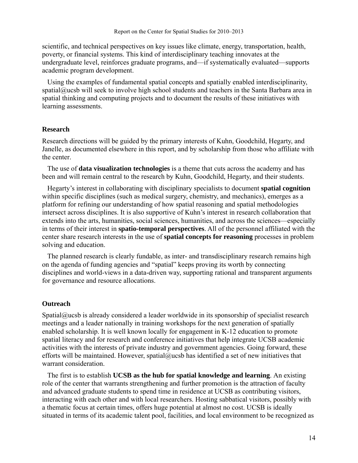scientific, and technical perspectives on key issues like climate, energy, transportation, health, poverty, or financial systems. This kind of interdisciplinary teaching innovates at the undergraduate level, reinforces graduate programs, and—if systematically evaluated—supports academic program development.

 Using the examples of fundamental spatial concepts and spatially enabled interdisciplinarity, spatial@ucsb will seek to involve high school students and teachers in the Santa Barbara area in spatial thinking and computing projects and to document the results of these initiatives with learning assessments.

#### **Research**

Research directions will be guided by the primary interests of Kuhn, Goodchild, Hegarty, and Janelle, as documented elsewhere in this report, and by scholarship from those who affiliate with the center.

 The use of **data visualization technologies** is a theme that cuts across the academy and has been and will remain central to the research by Kuhn, Goodchild, Hegarty, and their students.

 Hegarty's interest in collaborating with disciplinary specialists to document **spatial cognition** within specific disciplines (such as medical surgery, chemistry, and mechanics), emerges as a platform for refining our understanding of how spatial reasoning and spatial methodologies intersect across disciplines. It is also supportive of Kuhn's interest in research collaboration that extends into the arts, humanities, social sciences, humanities, and across the sciences—especially in terms of their interest in **spatio-temporal perspectives**. All of the personnel affiliated with the center share research interests in the use of **spatial concepts for reasoning** processes in problem solving and education.

 The planned research is clearly fundable, as inter- and transdisciplinary research remains high on the agenda of funding agencies and "spatial" keeps proving its worth by connecting disciplines and world-views in a data-driven way, supporting rational and transparent arguments for governance and resource allocations.

#### **Outreach**

Spatial@ucsb is already considered a leader worldwide in its sponsorship of specialist research meetings and a leader nationally in training workshops for the next generation of spatially enabled scholarship. It is well known locally for engagement in K-12 education to promote spatial literacy and for research and conference initiatives that help integrate UCSB academic activities with the interests of private industry and government agencies. Going forward, these efforts will be maintained. However, spatial@ucsb has identified a set of new initiatives that warrant consideration.

 The first is to establish **UCSB as the hub for spatial knowledge and learning**. An existing role of the center that warrants strengthening and further promotion is the attraction of faculty and advanced graduate students to spend time in residence at UCSB as contributing visitors, interacting with each other and with local researchers. Hosting sabbatical visitors, possibly with a thematic focus at certain times, offers huge potential at almost no cost. UCSB is ideally situated in terms of its academic talent pool, facilities, and local environment to be recognized as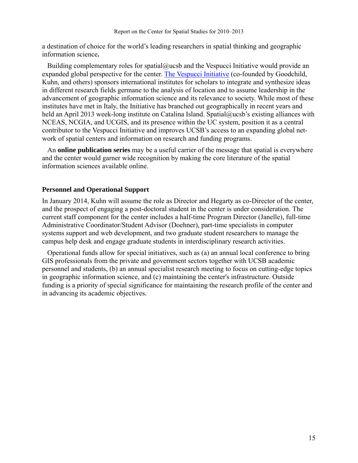a destination of choice for the world's leading researchers in spatial thinking and geographic information science**.** 

Building complementary roles for spatial@ucsb and the Vespucci Initiative would provide an expanded global perspective for the center. The Vespucci Initiative (co-founded by Goodchild, Kuhn, and others) sponsors international institutes for scholars to integrate and synthesize ideas in different research fields germane to the analysis of location and to assume leadership in the advancement of geographic information science and its relevance to society. While most of these institutes have met in Italy, the Initiative has branched out geographically in recent years and held an April 2013 week-long institute on Catalina Island. Spatial@ucsb's existing alliances with NCEAS, NCGIA, and UCGIS, and its presence within the UC system, position it as a central contributor to the Vespucci Initiative and improves UCSB's access to an expanding global network of spatial centers and information on research and funding programs.

 An **online publication series** may be a useful carrier of the message that spatial is everywhere and the center would garner wide recognition by making the core literature of the spatial information sciences available online.

#### **Personnel and Operational Support**

In January 2014, Kuhn will assume the role as Director and Hegarty as co-Director of the center, and the prospect of engaging a post-doctoral student in the center is under consideration. The current staff component for the center includes a half-time Program Director (Janelle), full-time Administrative Coordinator/Student Advisor (Doehner), part-time specialists in computer systems support and web development, and two graduate student researchers to manage the campus help desk and engage graduate students in interdisciplinary research activities.

 Operational funds allow for special initiatives, such as (a) an annual local conference to bring GIS professionals from the private and government sectors together with UCSB academic personnel and students, (b) an annual specialist research meeting to focus on cutting-edge topics in geographic information science, and (c) maintaining the center's infrastructure. Outside funding is a priority of special significance for maintaining the research profile of the center and in advancing its academic objectives.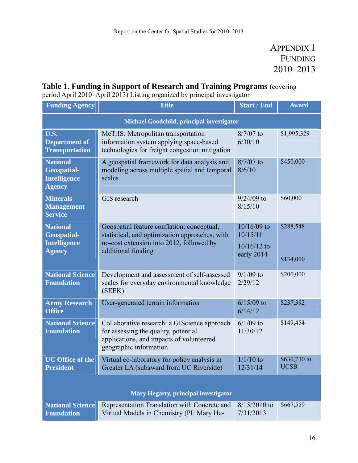# APPENDIX 1 FUNDING 2010–2013

## **Table 1. Funding in Support of Research and Training Programs** (covering

period April 2010–April 2013) Listing organized by principal investigator

| <b>Funding Agency</b>                                                         | <b>Title</b>                                                                                                                                                   | <b>Start / End</b>                                       | <b>Award</b>                |
|-------------------------------------------------------------------------------|----------------------------------------------------------------------------------------------------------------------------------------------------------------|----------------------------------------------------------|-----------------------------|
|                                                                               | Michael Goodchild, principal investigator                                                                                                                      |                                                          |                             |
| $\overline{\mathbf{U}}$ .S.<br><b>Department of</b><br><b>Transportation</b>  | MeTrIS: Metropolitan transportation<br>information system applying space-based<br>technologies for freight congestion mitigation                               | $8/7/07$ to<br>6/30/10                                   | \$1,995,329                 |
| <b>National</b><br><b>Geospatial-</b><br><b>Intelligence</b><br><b>Agency</b> | A geospatial framework for data analysis and<br>modeling across multiple spatial and temporal<br>scales                                                        | $8/7/07$ to<br>8/6/10                                    | \$450,000                   |
| <b>Minerals</b><br><b>Management</b><br><b>Service</b>                        | GIS research                                                                                                                                                   | $9/24/09$ to<br>8/15/10                                  | \$60,000                    |
| <b>National</b><br><b>Geospatial-</b><br><b>Intelligence</b><br><b>Agency</b> | Geospatial feature conflation: conceptual,<br>statistical, and optimization approaches, with<br>no-cost extension into 2012, followed by<br>additional funding | $10/16/09$ to<br>10/15/11<br>$10/16/12$ to<br>early 2014 | \$288,548<br>\$134,000      |
| <b>National Science</b><br><b>Foundation</b>                                  | Development and assessment of self-assessed<br>scales for everyday environmental knowledge<br>(SEEK)                                                           | $9/1/09$ to<br>2/29/12                                   | \$200,000                   |
| <b>Army Research</b><br><b>Office</b>                                         | User-generated terrain information                                                                                                                             | $6/15/09$ to<br>6/14/12                                  | \$237,392                   |
| <b>National Science</b><br><b>Foundation</b>                                  | Collaborative research: a GIScience approach<br>for assessing the quality, potential<br>applications, and impacts of volunteered<br>geographic information     | $6/1/09$ to<br>11/30/12                                  | \$149,454                   |
| <b>UC Office of the</b><br><b>President</b>                                   | Virtual co-laboratory for policy analysis in<br>Greater LA (subaward from UC Riverside)                                                                        | $1/1/10$ to<br>12/31/14                                  | \$630,730 to<br><b>UCSB</b> |
|                                                                               |                                                                                                                                                                |                                                          |                             |

## **Mary Hegarty, principal investigator**

|                   | <b>National Science</b> Representation Translation with Concrete and 8/15/2010 to \$667,559 |           |  |
|-------------------|---------------------------------------------------------------------------------------------|-----------|--|
| <b>Foundation</b> | Virtual Models in Chemistry (PI: Mary He-                                                   | 7/31/2013 |  |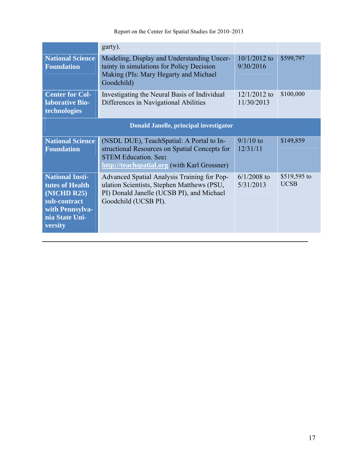|                                                                                                                          | garty).                                                                                                                                                                   |                              |                             |
|--------------------------------------------------------------------------------------------------------------------------|---------------------------------------------------------------------------------------------------------------------------------------------------------------------------|------------------------------|-----------------------------|
| <b>National Science</b><br><b>Foundation</b>                                                                             | Modeling, Display and Understanding Uncer-<br>tainty in simulations for Policy Decision<br>Making (PIs: Mary Hegarty and Michael<br>Goodchild)                            | $10/1/2012$ to<br>9/30/2016  | \$599,797                   |
| <b>Center for Col-</b><br>laborative Bio-<br>technologies                                                                | Investigating the Neural Basis of Individual<br>Differences in Navigational Abilities                                                                                     | $12/1/2012$ to<br>11/30/2013 | \$100,000                   |
| Donald Janelle, principal investigator                                                                                   |                                                                                                                                                                           |                              |                             |
| <b>National Science</b><br><b>Foundation</b>                                                                             | (NSDL DUE), TeachSpatial: A Portal to In-<br>structional Resources on Spatial Concepts for<br><b>STEM Education. See:</b><br>http://teachspatial.org (with Karl Grossner) | $9/1/10$ to<br>12/31/11      | \$149,859                   |
| <b>National Insti-</b><br>tutes of Health<br>(NICHD R25)<br>sub-contract<br>with Pennsylva-<br>nia State Uni-<br>versity | Advanced Spatial Analysis Training for Pop-<br>ulation Scientists, Stephen Matthews (PSU,<br>PI) Donald Janelle (UCSB PI), and Michael<br>Goodchild (UCSB PI).            | $6/1/2008$ to<br>5/31/2013   | \$519,595 to<br><b>UCSB</b> |
|                                                                                                                          |                                                                                                                                                                           |                              |                             |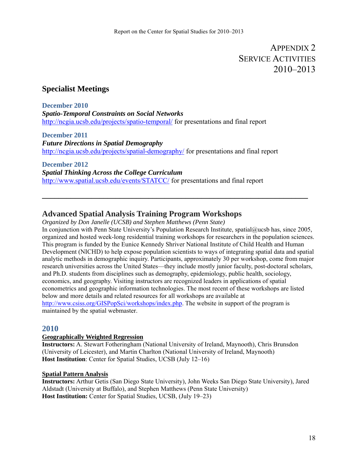# APPENDIX 2 SERVICE ACTIVITIES 2010–2013

## **Specialist Meetings**

**December 2010**  *Spatio-Temporal Constraints on Social Networks*  http://ncgia.ucsb.edu/projects/spatio-temporal/ for presentations and final report

**December 2011**  *Future Directions in Spatial Demography*  http://ncgia.ucsb.edu/projects/spatial-demography/ for presentations and final report

**December 2012**  *Spatial Thinking Across the College Curriculum*  http://www.spatial.ucsb.edu/events/STATCC/ for presentations and final report

## **Advanced Spatial Analysis Training Program Workshops**

*Organized by Don Janelle (UCSB) and Stephen Matthews (Penn State)* 

In conjunction with Penn State University's Population Research Institute, spatial@ucsb has, since 2005, organized and hosted week-long residential training workshops for researchers in the population sciences. This program is funded by the Eunice Kennedy Shriver National Institute of Child Health and Human Development (NICHD) to help expose population scientists to ways of integrating spatial data and spatial analytic methods in demographic inquiry. Participants, approximately 30 per workshop, come from major research universities across the United States—they include mostly junior faculty, post-doctoral scholars, and Ph.D. students from disciplines such as demography, epidemiology, public health, sociology, economics, and geography. Visiting instructors are recognized leaders in applications of spatial econometrics and geographic information technologies. The most recent of these workshops are listed below and more details and related resources for all workshops are available at http://www.csiss.org/GISPopSci/workshops/index.php. The website in support of the program is maintained by the spatial webmaster.

**\_\_\_\_\_\_\_\_\_\_\_\_\_\_\_\_\_\_\_\_\_\_\_\_\_\_\_\_\_\_\_\_\_\_\_\_\_\_\_\_\_\_\_\_\_\_\_\_\_\_\_\_\_\_\_\_\_\_\_\_\_\_\_\_\_** 

## **2010**

#### **Geographically Weighted Regression**

**Instructors:** A. Stewart Fotheringham (National University of Ireland, Maynooth), Chris Brunsdon (University of Leicester), and Martin Charlton (National University of Ireland, Maynooth) **Host Institution**: Center for Spatial Studies, UCSB (July 12–16)

#### **Spatial Pattern Analysis**

**Instructors:** Arthur Getis (San Diego State University), John Weeks San Diego State University), Jared Aldstadt (University at Buffalo), and Stephen Matthews (Penn State University) **Host Institution:** Center for Spatial Studies, UCSB, (July 19–23)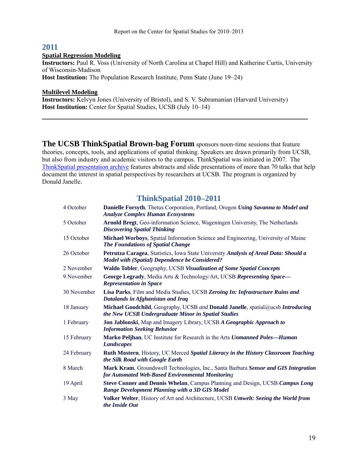## **2011**

#### **Spatial Regression Modeling**

**Instructors:** Paul R. Voss (University of North Carolina at Chapel Hill) and Katherine Curtis, University of Wisconsin-Madison

**\_\_\_\_\_\_\_\_\_\_\_\_\_\_\_\_\_\_\_\_\_\_\_\_\_\_\_\_\_\_\_\_\_\_\_\_\_\_\_\_\_\_\_\_\_\_\_\_\_\_\_\_\_\_\_\_\_\_\_\_\_\_\_\_\_** 

**Host Institution:** The Population Research Institute, Penn State (June 19–24)

#### **Multilevel Modeling**

**Instructors:** Kelvyn Jones (University of Bristol), and S. V. Subramanian (Harvard University) **Host Institution:** Center for Spatial Studies, UCSB (July 10–14)

**The UCSB ThinkSpatial Brown-bag Forum** sponsors noon-time sessions that feature theories, concepts, tools, and applications of spatial thinking. Speakers are drawn primarily from UCSB, but also from industry and academic visitors to the campus. ThinkSpatial was initiated in 2007. The ThinkSpatial presentation archive features abstracts and slide presentations of more than 70 talks that help document the interest in spatial perspectives by researchers at UCSB. The program is organized by Donald Janelle.

## **ThinkSpatial 2010–2011**

| 4 October   | Danielle Forsyth, Thetus Corporation, Portland, Oregon Using Savanna to Model and<br><b>Analyze Complex Human Ecosystems</b>                  |
|-------------|-----------------------------------------------------------------------------------------------------------------------------------------------|
| 5 October   | Arnold Bregt, Geo-information Science, Wageningen University, The Netherlands<br><b>Discovering Spatial Thinking</b>                          |
| 15 October  | Michael Worboys, Spatial Information Science and Engineering, University of Maine<br>The Foundations of Spatial Change                        |
| 26 October  | Petrutza Caragea, Statistics, Iowa State University Analysis of Areal Data: Should a<br><b>Model with (Spatial) Dependence be Considered?</b> |
| 2 November  | Waldo Tobler, Geography, UCSB Visualization of Some Spatial Concepts                                                                          |
| 9 November  | George Legrady, Media Arts & Technology/Art, UCSB Representing Space-<br><b>Representation in Space</b>                                       |
| 30 November | Lisa Parks, Film and Media Studies, UCSB Zeroing In: Infrastructure Ruins and<br>Datalands in Afghanistan and Iraq                            |
| 18 January  | Michael Goodchild, Geography, UCSB and Donald Janelle, spatial@ucsb Introducing<br>the New UCSB Undergraduate Minor in Spatial Studies        |
| 1 February  | Jon Jablonski, Map and Imagery Library, UCSB A Geographic Approach to<br><b>Information Seeking Behavior</b>                                  |
| 15 February | Marko Peljhan, UC Institute for Research in the Arts Unmanned Poles-Human<br><b>Landscapes</b>                                                |
| 24 February | Ruth Mostern, History, UC Merced Spatial Literacy in the History Classroom Teaching<br>the Silk Road with Google Earth                        |
| 8 March     | Mark Kram, Groundswell Technologies, Inc., Santa Barbara Sensor and GIS Integration<br>for Automated Web-Based Environmental Monitoring       |
| 19 April    | Steve Conner and Dennis Whelan, Campus Planning and Design, UCSB Campus Long<br>Range Development Planning with a 3D GIS Model                |
| 3 May       | Volker Welter, History of Art and Architecture, UCSB Umwelt: Seeing the World from<br>the Inside Out                                          |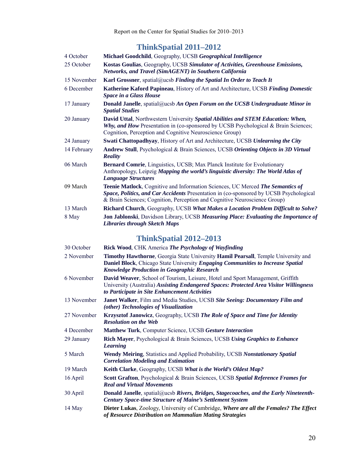# **ThinkSpatial 2011–2012**

| 4 October   | Michael Goodchild, Geography, UCSB Geographical Intelligence                                                                                                                                                                                                 |
|-------------|--------------------------------------------------------------------------------------------------------------------------------------------------------------------------------------------------------------------------------------------------------------|
| 25 October  | Kostas Goulias, Geography, UCSB Simulator of Activities, Greenhouse Emissions,<br><b>Networks, and Travel (SimAGENT) in Southern California</b>                                                                                                              |
| 15 November | Karl Grossner, spatial@ucsb Finding the Spatial In Order to Teach It                                                                                                                                                                                         |
| 6 December  | Katherine Kaford Papineau, History of Art and Architecture, UCSB Finding Domestic<br><b>Space in a Glass House</b>                                                                                                                                           |
| 17 January  | <b>Donald Janelle</b> , spatial@ucsb An Open Forum on the UCSB Undergraduate Minor in<br><b>Spatial Studies</b>                                                                                                                                              |
| 20 January  | David Uttal, Northwestern University Spatial Abilities and STEM Education: When,<br>Why, and How Presentation in (co-sponsored by UCSB Psychological & Brain Sciences;<br>Cognition, Perception and Cognitive Neuroscience Group)                            |
| 24 January  | Swati Chattopadhyay, History of Art and Architecture, UCSB Unlearning the City                                                                                                                                                                               |
| 14 February | Andrew Stull, Psychological & Brain Sciences, UCSB Orienting Objects in 3D Virtual<br><b>Reality</b>                                                                                                                                                         |
| 06 March    | <b>Bernard Comrie, Linguistics, UCSB; Max Planck Institute for Evolutionary</b><br>Anthropology, Leipzig Mapping the world's linguistic diversity: The World Atlas of<br><b>Language Structures</b>                                                          |
| 09 March    | <b>Teenie Matlock, Cognitive and Information Sciences, UC Merced The Semantics of</b><br>Space, Politics, and Car Accidents Presentation in (co-sponsored by UCSB Psychological<br>& Brain Sciences; Cognition, Perception and Cognitive Neuroscience Group) |
| 13 March    | Richard Church, Geography, UCSB What Makes a Location Problem Difficult to Solve?                                                                                                                                                                            |
| 8 May       | Jon Jablonski, Davidson Library, UCSB Measuring Place: Evaluating the Importance of<br><b>Libraries through Sketch Maps</b>                                                                                                                                  |

# **ThinkSpatial 2012–2013**

| 30 October  | Rick Wood, CHK America The Psychology of Wayfinding                                                                                                                                                                        |
|-------------|----------------------------------------------------------------------------------------------------------------------------------------------------------------------------------------------------------------------------|
| 2 November  | Timothy Hawthorne, Georgia State University Hamil Pearsall, Temple University and<br>Daniel Block, Chicago State University Engaging Communities to Increase Spatial<br><b>Knowledge Production in Geographic Research</b> |
| 6 November  | David Weaver, School of Tourism, Leisure, Hotel and Sport Management, Griffith<br>University (Australia) Assisting Endangered Spaces: Protected Area Visitor Willingness<br>to Participate in Site Enhancement Activities  |
| 13 November | Janet Walker, Film and Media Studies, UCSB Site Seeing: Documentary Film and<br>(other) Technologies of Visualization                                                                                                      |
| 27 November | Krzysztof Janowicz, Geography, UCSB The Role of Space and Time for Identity<br><b>Resolution on the Web</b>                                                                                                                |
| 4 December  | <b>Matthew Turk, Computer Science, UCSB Gesture Interaction</b>                                                                                                                                                            |
| 29 January  | <b>Rich Mayer, Psychological &amp; Brain Sciences, UCSB Using Graphics to Enhance</b><br><b>Learning</b>                                                                                                                   |
| 5 March     | Wendy Meiring, Statistics and Applied Probability, UCSB Nonstationary Spatial<br><b>Correlation Modeling and Estimation</b>                                                                                                |
| 19 March    | Keith Clarke, Geography, UCSB What is the World's Oldest Map?                                                                                                                                                              |
| 16 April    | Scott Grafton, Psychological & Brain Sciences, UCSB Spatial Reference Frames for<br><b>Real and Virtual Movements</b>                                                                                                      |
| 30 April    | Donald Janelle, spatial@ucsb Rivers, Bridges, Stagecoaches, and the Early Nineteenth-<br><b>Century Space-time Structure of Maine's Settlement System</b>                                                                  |
| 14 May      | Dieter Lukas, Zoology, University of Cambridge, Where are all the Females? The Effect<br>of Resource Distribution on Mammalian Mating Strategies                                                                           |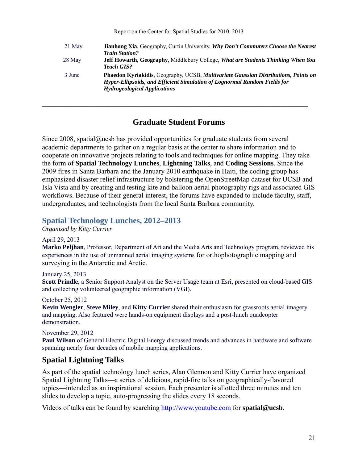| 21 May | Jianhong Xia, Geography, Curtin University, Why Don't Commuters Choose the Nearest<br><b>Train Station?</b>      |
|--------|------------------------------------------------------------------------------------------------------------------|
| 28 May | Jeff Howarth, Geography, Middlebury College, What are Students Thinking When You                                 |
| 3 June | <b>Teach GIS?</b><br><b>Phaedon Kyriakidis, Geography, UCSB, Multivariate Gaussian Distributions, Points on</b>  |
|        | Hyper-Ellipsoids, and Efficient Simulation of Lognormal Random Fields for<br><b>Hydrogeological Applications</b> |
|        |                                                                                                                  |

## **Graduate Student Forums**

**\_\_\_\_\_\_\_\_\_\_\_\_\_\_\_\_\_\_\_\_\_\_\_\_\_\_\_\_\_\_\_\_\_\_\_\_\_\_\_\_\_\_\_\_\_\_\_\_\_\_\_\_\_\_\_\_\_\_\_\_\_\_\_\_\_** 

Since 2008, spatial@ucsb has provided opportunities for graduate students from several academic departments to gather on a regular basis at the center to share information and to cooperate on innovative projects relating to tools and techniques for online mapping. They take the form of **Spatial Technology Lunches**, **Lightning Talks**, and **Coding Sessions**. Since the 2009 fires in Santa Barbara and the January 2010 earthquake in Haiti, the coding group has emphasized disaster relief infrastructure by bolstering the OpenStreetMap dataset for UCSB and Isla Vista and by creating and testing kite and balloon aerial photography rigs and associated GIS workflows. Because of their general interest, the forums have expanded to include faculty, staff, undergraduates, and technologists from the local Santa Barbara community.

#### **Spatial Technology Lunches, 2012–2013**

*Organized by Kitty Currier* 

#### April 29, 2013

**Marko Peljhan**, Professor, Department of Art and the Media Arts and Technology program, reviewed his experiences in the use of unmanned aerial imaging systems for orthophotographic mapping and surveying in the Antarctic and Arctic.

#### January 25, 2013

**Scott Prindle**, a Senior Support Analyst on the Server Usage team at Esri, presented on cloud-based GIS and collecting volunteered geographic information (VGI).

#### October 25, 2012

**Kevin Wengler**, **Steve Miley**, and **Kitty Currier** shared their enthusiasm for grassroots aerial imagery and mapping. Also featured were hands-on equipment displays and a post-lunch quadcopter demonstration.

#### November 29, 2012

**Paul Wilson** of General Electric Digital Energy discussed trends and advances in hardware and software spanning nearly four decades of mobile mapping applications.

## **Spatial Lightning Talks**

As part of the spatial technology lunch series, Alan Glennon and Kitty Currier have organized Spatial Lightning Talks—a series of delicious, rapid-fire talks on geographically-flavored topics—intended as an inspirational session. Each presenter is allotted three minutes and ten slides to develop a topic, auto-progressing the slides every 18 seconds.

Videos of talks can be found by searching http://www.youtube.com for **spatial@ucsb**.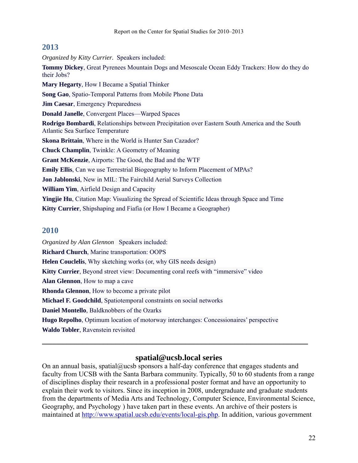#### **2013**

*Organized by Kitty Currier.* Speakers included: **Tommy Dickey**, Great Pyrenees Mountain Dogs and Mesoscale Ocean Eddy Trackers: How do they do their Jobs? **Mary Hegarty**, How I Became a Spatial Thinker **Song Gao**, Spatio-Temporal Patterns from Mobile Phone Data **Jim Caesar**, Emergency Preparedness **Donald Janelle**, Convergent Places—Warped Spaces **Rodrigo Bombardi**, Relationships between Precipitation over Eastern South America and the South Atlantic Sea Surface Temperature **Skona Brittain**, Where in the World is Hunter San Cazador? **Chuck Champlin**, Twinkle: A Geometry of Meaning **Grant McKenzie**, Airports: The Good, the Bad and the WTF **Emily Ellis**, Can we use Terrestrial Biogeography to Inform Placement of MPAs? **Jon Jablonski**, New in MIL: The Fairchild Aerial Surveys Collection **William Yim**, Airfield Design and Capacity **Yingjie Hu**, Citation Map: Visualizing the Spread of Scientific Ideas through Space and Time **Kitty Currier**, Shipshaping and Fiafia (or How I Became a Geographer)

## **2010**

*Organized by Alan Glennon* Speakers included: **Richard Church**, Marine transportation: OOPS **Helen Couclelis**, Why sketching works (or, why GIS needs design) **Kitty Currier**, Beyond street view: Documenting coral reefs with "immersive" video **Alan Glennon**, How to map a cave **Rhonda Glennon**, How to become a private pilot **Michael F. Goodchild**, Spatiotemporal constraints on social networks **Daniel Montello**, Baldknobbers of the Ozarks **Hugo Repolho**, Optimum location of motorway interchanges: Concessionaires' perspective **Waldo Tobler**, Ravenstein revisited

## **spatial@ucsb.local series**

**\_\_\_\_\_\_\_\_\_\_\_\_\_\_\_\_\_\_\_\_\_\_\_\_\_\_\_\_\_\_\_\_\_\_\_\_\_\_\_\_\_\_\_\_\_\_\_\_\_\_\_\_\_\_\_\_\_\_\_\_\_\_\_\_\_** 

On an annual basis, spatial@ucsb sponsors a half-day conference that engages students and faculty from UCSB with the Santa Barbara community. Typically, 50 to 60 students from a range of disciplines display their research in a professional poster format and have an opportunity to explain their work to visitors. Since its inception in 2008, undergraduate and graduate students from the departments of Media Arts and Technology, Computer Science, Environmental Science, Geography, and Psychology ) have taken part in these events. An archive of their posters is maintained at http://www.spatial.ucsb.edu/events/local-gis.php. In addition, various government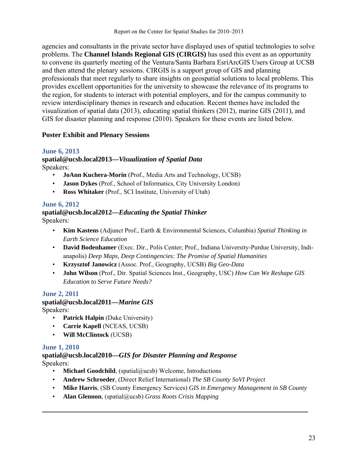agencies and consultants in the private sector have displayed uses of spatial technologies to solve problems. The **Channel Islands Regional GIS (CIRGIS)** has used this event as an opportunity to convene its quarterly meeting of the Ventura/Santa Barbara EsriArcGIS Users Group at UCSB and then attend the plenary sessions. CIRGIS is a support group of GIS and planning professionals that meet regularly to share insights on geospatial solutions to local problems. This provides excellent opportunities for the university to showcase the relevance of its programs to the region, for students to interact with potential employers, and for the campus community to review interdisciplinary themes in research and education. Recent themes have included the visualization of spatial data (2013), educating spatial thinkers (2012), marine GIS (2011), and GIS for disaster planning and response (2010). Speakers for these events are listed below.

## **Poster Exhibit and Plenary Sessions**

## **June 6, 2013**

**spatial@ucsb.local2013—***Visualization of Spatial Data* Speakers:

- **JoAnn Kuchera-Morin** (Prof., Media Arts and Technology, UCSB)
- **Jason Dykes** (Prof., School of Informatics, City University London)
- **Ross Whitaker** (Prof., SCI Institute, University of Utah)

## **June 6, 2012**

#### **spatial@ucsb.local2012—***Educating the Spatial Thinker* Speakers:

- **Kim Kastens** (Adjunct Prof., Earth & Environmental Sciences, Columbia) *Spatial Thinking in Earth Science Education*
- **David Bodenhamer** (Exec. Dir., Polis Center; Prof., Indiana University-Purdue University, Indianapolis) *Deep Maps, Deep Contingencies: The Promise of Spatial Humanities*
- **Krzysztof Janowicz** (Assoc. Prof., Geography, UCSB) *Big Geo-Data*
- **John Wilson** (Prof., Dir. Spatial Sciences Inst., Geography, USC) *How Can We Reshape GIS Education to Serve Future Needs?*

## **June 2, 2011**

## **spatial@ucsb.local2011—***Marine GIS*

Speakers:

- **Patrick Halpin** (Duke University)
- **Carrie Kapell** (NCEAS, UCSB)
- **Will McClintock** (UCSB)

## **June 1, 2010**

#### **spatial@ucsb.local2010—***GIS for Disaster Planning and Response* Speakers:

- **Michael Goodchild**, (spatial@ucsb) Welcome, Introductions
- **Andrew Schroeder**, (Direct Relief International) *The SB County SoVI Project*
- **Mike Harris**, (SB County Emergency Services) *GIS in Emergency Management in SB County*

**\_\_\_\_\_\_\_\_\_\_\_\_\_\_\_\_\_\_\_\_\_\_\_\_\_\_\_\_\_\_\_\_\_\_\_\_\_\_\_\_\_\_\_\_\_\_\_\_\_\_\_\_\_\_\_\_\_\_\_\_\_\_\_\_\_** 

• **Alan Glennon**, (spatial@ucsb) *Grass Roots Crisis Mapping*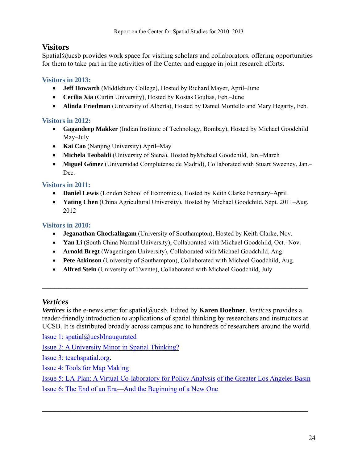## **Visitors**

Spatial@ucsb provides work space for visiting scholars and collaborators, offering opportunities for them to take part in the activities of the Center and engage in joint research efforts.

## **Visitors in 2013:**

- **Jeff Howarth** (Middlebury College), Hosted by Richard Mayer, April–June
- **Cecilia Xia** (Curtin University), Hosted by Kostas Goulias, Feb.–June
- **Alinda Friedman** (University of Alberta), Hosted by Daniel Montello and Mary Hegarty, Feb.

## **Visitors in 2012:**

- **Gagandeep Makker** (Indian Institute of Technology, Bombay), Hosted by Michael Goodchild May–July
- **Kai Cao** (Nanjing University) April–May
- **Michela Teobaldi** (University of Siena), Hosted byMichael Goodchild, Jan.–March
- **Miguel Gómez** (Universidad Complutense de Madrid), Collaborated with Stuart Sweeney, Jan.– Dec.

## **Visitors in 2011:**

- **Daniel Lewis** (London School of Economics), Hosted by Keith Clarke February–April
- **Yating Chen** (China Agricultural University), Hosted by Michael Goodchild, Sept. 2011–Aug. 2012

## **Visitors in 2010:**

- **Jeganathan Chockalingam** (University of Southampton), Hosted by Keith Clarke, Nov.
- **Yan Li** (South China Normal University), Collaborated with Michael Goodchild, Oct.–Nov.
- **Arnold Bregt** (Wageningen University), Collaborated with Michael Goodchild, Aug.
- **Pete Atkinson** (University of Southampton), Collaborated with Michael Goodchild, Aug.
- **Alfred Stein** (University of Twente), Collaborated with Michael Goodchild, July

## *Vertices*

*Vertices* is the e-newsletter for spatial@ucsb. Edited by **Karen Doehner**, *Vertices* provides a reader-friendly introduction to applications of spatial thinking by researchers and instructors at UCSB. It is distributed broadly across campus and to hundreds of researchers around the world.

**\_\_\_\_\_\_\_\_\_\_\_\_\_\_\_\_\_\_\_\_\_\_\_\_\_\_\_\_\_\_\_\_\_\_\_\_\_\_\_\_\_\_\_\_\_\_\_\_\_\_\_\_\_\_\_\_\_\_\_\_\_\_\_\_\_** 

Issue 1: spatial@ucsbInaugurated

Issue 2: A University Minor in Spatial Thinking?

Issue 3: teachspatial.org.

Issue 4: Tools for Map Making

Issue 5: LA-Plan: A Virtual Co-laboratory for Policy Analysis of the Greater Los Angeles Basin Issue 6: The End of an Era—And the Beginning of a New One

**\_\_\_\_\_\_\_\_\_\_\_\_\_\_\_\_\_\_\_\_\_\_\_\_\_\_\_\_\_\_\_\_\_\_\_\_\_\_\_\_\_\_\_\_\_\_\_\_\_\_\_\_\_\_\_\_\_\_\_\_\_\_\_\_\_**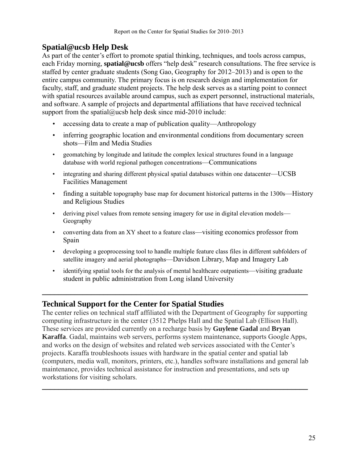## **Spatial@ucsb Help Desk**

As part of the center's effort to promote spatial thinking, techniques, and tools across campus, each Friday morning, **spatial@ucsb** offers "help desk" research consultations. The free service is staffed by center graduate students (Song Gao, Geography for 2012–2013) and is open to the entire campus community. The primary focus is on research design and implementation for faculty, staff, and graduate student projects. The help desk serves as a starting point to connect with spatial resources available around campus, such as expert personnel, instructional materials, and software. A sample of projects and departmental affiliations that have received technical support from the spatial@ucsb help desk since mid-2010 include:

- accessing data to create a map of publication quality—Anthropology
- inferring geographic location and environmental conditions from documentary screen shots—Film and Media Studies
- geomatching by longitude and latitude the complex lexical structures found in a language database with world regional pathogen concentrations—Communications
- integrating and sharing different physical spatial databases within one datacenter—UCSB Facilities Management
- finding a suitable topography base map for document historical patterns in the 1300s—History and Religious Studies
- deriving pixel values from remote sensing imagery for use in digital elevation models— Geography
- converting data from an XY sheet to a feature class—visiting economics professor from Spain
- developing a geoprocessing tool to handle multiple feature class files in different subfolders of satellite imagery and aerial photographs—Davidson Library, Map and Imagery Lab
- identifying spatial tools for the analysis of mental healthcare outpatients—visiting graduate student in public administration from Long island University

**\_\_\_\_\_\_\_\_\_\_\_\_\_\_\_\_\_\_\_\_\_\_\_\_\_\_\_\_\_\_\_\_\_\_\_\_\_\_\_\_\_\_\_\_\_\_\_\_\_\_\_\_\_\_\_\_\_\_\_\_\_\_\_\_\_**

## **Technical Support for the Center for Spatial Studies**

The center relies on technical staff affiliated with the Department of Geography for supporting computing infrastructure in the center (3512 Phelps Hall and the Spatial Lab (Ellison Hall). These services are provided currently on a recharge basis by **Guylene Gadal** and **Bryan Karaffa**. Gadal, maintains web servers, performs system maintenance, supports Google Apps, and works on the design of websites and related web services associated with the Center's projects. Karaffa troubleshoots issues with hardware in the spatial center and spatial lab (computers, media wall, monitors, printers, etc.), handles software installations and general lab maintenance, provides technical assistance for instruction and presentations, and sets up workstations for visiting scholars.

**\_\_\_\_\_\_\_\_\_\_\_\_\_\_\_\_\_\_\_\_\_\_\_\_\_\_\_\_\_\_\_\_\_\_\_\_\_\_\_\_\_\_\_\_\_\_\_\_\_\_\_\_\_\_\_\_\_\_\_\_\_\_\_\_\_**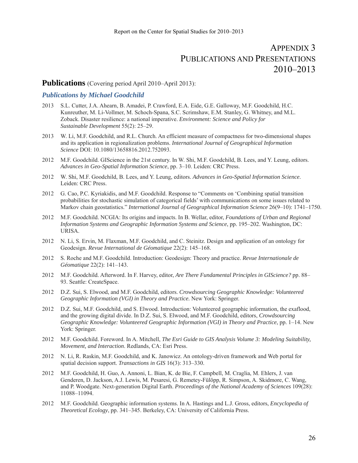# APPENDIX 3 PUBLICATIONS AND PRESENTATIONS 2010–2013

#### Publications (Covering period April 2010–April 2013):

#### *Publications by Michael Goodchild*

- 2013 S.L. Cutter, J.A. Ahearn, B. Amadei, P. Crawford, E.A. Eide, G.E. Galloway, M.F. Goodchild, H.C. Kunreuther, M. Li-Vollmer, M. Schoch-Spana, S.C. Scrimshaw, E.M. Stanley, G. Whitney, and M.L. Zoback. Disaster resilience: a national imperative. *Environment: Science and Policy for Sustainable Development* 55(2): 25–29.
- 2013 W. Li, M.F. Goodchild, and R.L. Church. An efficient measure of compactness for two-dimensional shapes and its application in regionalization problems. *International Journal of Geographical Information Science* DOI: 10.1080/13658816.2012.752093.
- 2012 M.F. Goodchild. GIScience in the 21st century. In W. Shi, M.F. Goodchild, B. Lees, and Y. Leung, editors. *Advances in Geo-Spatial Information Science*, pp. 3–10. Leiden: CRC Press.
- 2012 W. Shi, M.F. Goodchild, B. Lees, and Y. Leung, editors. *Advances in Geo-Spatial Information Science*. Leiden: CRC Press.
- 2012 G. Cao, P.C. Kyriakidis, and M.F. Goodchild. Response to "Comments on 'Combining spatial transition probabilities for stochastic simulation of categorical fields' with communications on some issues related to Markov chain geostatistics." *International Journal of Geographical Information Science* 26(9–10): 1741–1750.
- 2012 M.F. Goodchild. NCGIA: Its origins and impacts. In B. Wellar, editor, *Foundations of Urban and Regional Information Systems and Geographic Information Systems and Science*, pp. 195–202. Washington, DC: URISA.
- 2012 N. Li, S. Ervin, M. Flaxman, M.F. Goodchild, and C. Steinitz. Design and application of an ontology for Geodesign. *Revue International de Géomatique* 22(2): 145–168.
- 2012 S. Roche and M.F. Goodchild. Introduction: Geodesign: Theory and practice. *Revue Internationale de Géomatique* 22(2): 141–143.
- 2012 M.F. Goodchild. Afterword. In F. Harvey, editor, *Are There Fundamental Principles in GIScience?* pp. 88– 93. Seattle: CreateSpace.
- 2012 D.Z. Sui, S. Elwood, and M.F. Goodchild, editors. *Crowdsourcing Geographic Knowledge: Volunteered Geographic Information (VGI) in Theory and Practice.* New York: Springer.
- 2012 D.Z. Sui, M.F. Goodchild, and S. Elwood. Introduction: Volunteered geographic information, the exaflood, and the growing digital divide. In D.Z. Sui, S. Elwood, and M.F. Goodchild, editors, *Crowdsourcing Geographic Knowledge: Volunteered Geographic Information (VGI) in Theory and Practice*, pp. 1–14. New York: Springer.
- 2012 M.F. Goodchild. Foreword. In A. Mitchell, *The Esri Guide to GIS Analysis Volume 3: Modeling Suitability, Movement, and Interaction*. Redlands, CA: Esri Press.
- 2012 N. Li, R. Raskin, M.F. Goodchild, and K. Janowicz. An ontology-driven framework and Web portal for spatial decision support. *Transactions in GIS* 16(3): 313–330.
- 2012 M.F. Goodchild, H. Guo, A. Annoni, L. Bian, K. de Bie, F. Campbell, M. Craglia, M. Ehlers, J. van Genderen, D. Jackson, A.J. Lewis, M. Pesaresi, G. Remetey-Fülöpp, R. Simpson, A. Skidmore, C. Wang, and P. Woodgate. Next-generation Digital Earth. *Proceedings of the National Academy of Sciences* 109(28): 11088–11094.
- 2012 M.F. Goodchild. Geographic information systems. In A. Hastings and L.J. Gross, editors, *Encyclopedia of Theoretical Ecology*, pp. 341–345. Berkeley, CA: University of California Press.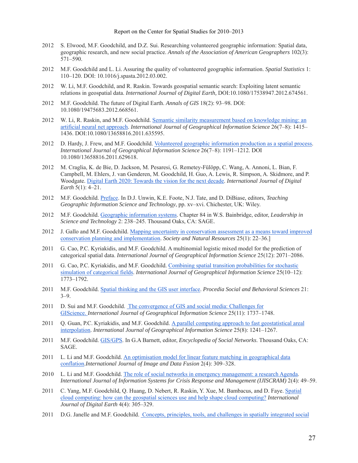- 2012 S. Elwood, M.F. Goodchild, and D.Z. Sui. Researching volunteered geographic information: Spatial data, geographic research, and new social practice. *Annals of the Association of American Geographers* 102(3): 571–590.
- 2012 M.F. Goodchild and L. Li. Assuring the quality of volunteered geographic information. *Spatial Statistics* 1: 110–120. DOI: 10.1016/j.spasta.2012.03.002.
- 2012 W. Li, M.F. Goodchild, and R. Raskin. Towards geospatial semantic search: Exploiting latent semantic relations in geospatial data. *International Journal of Digital Earth,* DOI:10.1080/17538947.2012.674561.
- 2012 M.F. Goodchild. The future of Digital Earth. *Annals of GIS* 18(2): 93–98. DOI: 10.1080/19475683.2012.668561.
- 2012 W. Li, R. Raskin, and M.F. Goodchild. Semantic similarity measurement based on knowledge mining: an artificial neural net approach. *International Journal of Geographical Information Science* 26(7–8): 1415– 1436. DOI:10.1080/13658816.2011.635595.
- 2012 D. Hardy, J. Frew, and M.F. Goodchild. Volunteered geographic information production as a spatial process. *International Journal of Geographical Information Science* 26(7–8): 1191–1212. DOI 10.1080/13658816.2011.629618.
- 2012 M. Craglia, K. de Bie, D. Jackson, M. Pesaresi, G. Remetey-Fülöpp, C. Wang, A. Annoni, L. Bian, F. Campbell, M. Ehlers, J. van Genderen, M. Goodchild, H. Guo, A. Lewis, R. Simpson, A. Skidmore, and P. Woodgate. Digital Earth 2020: Towards the vision for the next decade. *International Journal of Digital Earth* 5(1): 4–21.
- 2012 M.F. Goodchild. Preface. In D.J. Unwin, K.E. Foote, N.J. Tate, and D. DiBiase, editors, *Teaching Geographic Information Science and Technology*, pp. xv–xvi. Chichester, UK: Wiley.
- 2012 M.F. Goodchild. Geographic information systems. Chapter 84 in W.S. Bainbridge, editor, *Leadership in Science and Technology* 2: 238–245. Thousand Oaks, CA: SAGE.
- 2012 J. Gallo and M.F. Goodchild. Mapping uncertainty in conservation assessment as a means toward improved conservation planning and implementation. *Society and Natural Resources* 25(1): 22–36.]
- 2011 G. Cao, P.C. Kyriakidis, and M.F. Goodchild. A multinomial logistic mixed model for the prediction of categorical spatial data. *International Journal of Geographical Information Science* 25(12): 2071–2086.
- 2011 G. Cao, P.C. Kyriakidis, and M.F. Goodchild. Combining spatial transition probabilities for stochastic simulation of categorical fields. *International Journal of Geographical Information Science* 25(10–12): 1773–1792.
- 2011 M.F. Goodchild. Spatial thinking and the GIS user interface. *Procedia Social and Behavioral Sciences* 21: 3–9.
- 2011 D. Sui and M.F. Goodchild. The convergence of GIS and social media: Challenges for GIScience. *International Journal of Geographical Information Science* 25(11): 1737–1748.
- 2011 Q. Guan, P.C. Kyriakidis, and M.F. Goodchild. A parallel computing approach to fast geostatistical areal interpolation. *International Journal of Geographical Information Science* 25(8): 1241–1267.
- 2011 M.F. Goodchild. GIS/GPS. In G.A Barnett, editor, *Encyclopedia of Social Networks*. Thousand Oaks, CA: SAGE.
- 2011 L. Li and M.F. Goodchild. An optimisation model for linear feature matching in geographical data conflation.*International Journal of Image and Data Fusion* 2(4): 309–328.
- 2010 L. Li and M.F. Goodchild. The role of social networks in emergency management: a research Agenda. *International Journal of Information Systems for Crisis Response and Management (IJISCRAM)* 2(4): 49–59.
- 2011 C. Yang, M.F. Goodchild, Q. Huang, D. Nebert, R. Raskin, Y. Xue, M. Bambacus, and D. Faye. Spatial cloud computing: how can the geospatial sciences use and help shape cloud computing? *International Journal of Digital Earth* 4(4): 305–329.
- 2011 D.G. Janelle and M.F. Goodchild. Concepts, principles, tools, and challenges in spatially integrated social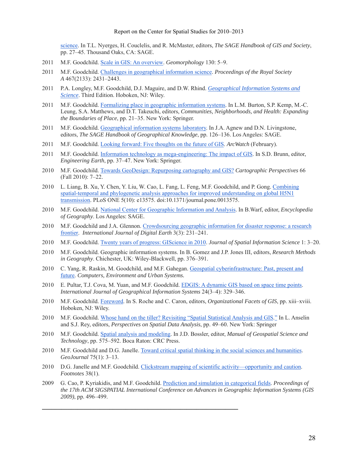science. In T.L. Nyerges, H. Couclelis, and R. McMaster, editors, *The SAGE Handbook of GIS and Society*, pp. 27–45. Thousand Oaks, CA: SAGE.

- 2011 M.F. Goodchild. Scale in GIS: An overview. *Geomorphology* 130: 5–9.
- 2011 M.F. Goodchild. Challenges in geographical information science. *Proceedings of the Royal Society A* 467(2133): 2431–2443.
- 2011 P.A. Longley, M.F. Goodchild, D.J. Maguire, and D.W. Rhind. *Geographical Information Systems and Science*. Third Edition. Hoboken, NJ: Wiley.
- 2011 M.F. Goodchild. Formalizing place in geographic information systems. In L.M. Burton, S.P. Kemp, M.-C. Leung, S.A. Matthews, and D.T. Takeuchi, editors, *Communities, Neighborhoods, and Health: Expanding the Boundaries of Place*, pp. 21–35. New York: Springer.
- 2011 M.F. Goodchild. Geographical information systems laboratory. In J.A. Agnew and D.N. Livingstone, editors, *The SAGE Handbook of Geographical Knowledge*, pp. 126–136. Los Angeles: SAGE.
- 2011 M.F. Goodchild. Looking forward: Five thoughts on the future of GIS. *ArcWatch* (February).
- 2011 M.F. Goodchild. Information technology as mega-engineering: The impact of GIS. In S.D. Brunn, editor, *Engineering Earth*, pp. 37–47. New York: Springer.
- 2010 M.F. Goodchild. Towards GeoDesign: Repurposing cartography and GIS? *Cartographic Perspectives* 66 (Fall 2010): 7–22.
- 2010 L. Liang, B. Xu, Y. Chen, Y. Liu, W. Cao, L. Fang, L. Feng, M.F. Goodchild, and P. Gong. Combining spatial-temporal and phylogenetic analysis approaches for improved understanding on global H5N1 transmission. PLoS ONE 5(10): e13575. doi:10.1371/journal.pone.0013575.
- 2010 M.F. Goodchild. National Center for Geographic Information and Analysis. In B.Warf, editor, *Encyclopedia of Geography*. Los Angeles: SAGE.
- 2010 M.F. Goodchild and J.A. Glennon. Crowdsourcing geographic information for disaster response: a research frontier. *International Journal of Digital Earth* 3(3): 231–241.
- 2010 M.F. Goodchild. Twenty years of progress: GIScience in 2010. *Journal of Spatial Information Science* 1: 3–20.
- 2010 M.F. Goodchild. Geographic information systems. In B. Gomez and J.P. Jones III, editors, *Research Methods in Geography*. Chichester, UK: Wiley-Blackwell, pp. 376–391.
- 2010 C. Yang, R. Raskin, M. Goodchild, and M.F. Gahegan. Geospatial cyberinfrastructure: Past, present and future. *Computers, Environment and Urban Systems.*
- 2010 E. Pultar, T.J. Cova, M. Yuan, and M.F. Goodchild. EDGIS: A dynamic GIS based on space time points. *International Journal of Geographical Information Systems* 24(3–4): 329–346.
- 2010 M.F. Goodchild. Foreword. In S. Roche and C. Caron, editors, *Organizational Facets of GIS*, pp. xiii–xviii. Hoboken, NJ: Wiley.
- 2010 M.F. Goodchild. Whose hand on the tiller? Revisiting "Spatial Statistical Analysis and GIS." In L. Anselin and S.J. Rey, editors, *Perspectives on Spatial Data Analysis*, pp. 49–60. New York: Springer
- 2010 M.F. Goodchild. Spatial analysis and modeling. In J.D. Bossler, editor, *Manual of Geospatial Science and Technology*, pp. 575–592. Boca Raton: CRC Press.
- 2010 M.F. Goodchild and D.G. Janelle. Toward critical spatial thinking in the social sciences and humanities. *GeoJournal* 75(1): 3–13.
- 2010 D.G. Janelle and M.F. Goodchild. Clickstream mapping of scientific activity—opportunity and caution. *Footnotes* 38(1).

**\_\_\_\_\_\_\_\_\_\_\_\_\_\_\_\_\_\_\_\_\_\_\_\_\_\_\_\_\_\_\_\_\_\_\_\_\_\_\_\_\_\_\_\_\_\_\_\_\_\_\_\_\_\_\_\_\_\_\_\_\_**

2009 G. Cao, P. Kyriakidis, and M.F. Goodchild. Prediction and simulation in categorical fields. *Proceedings of the 17th ACM SIGSPATIAL International Conference on Advances in Geographic Information Systems (GIS 2009)*, pp. 496–499.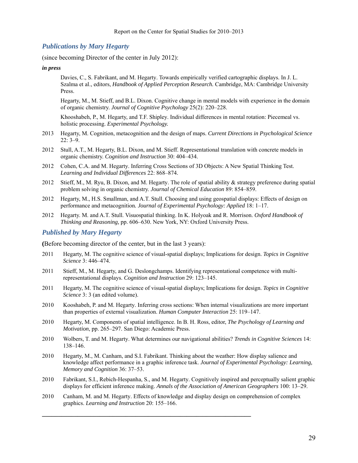#### *Publications by Mary Hegarty*

(since becoming Director of the center in July 2012):

#### *in press*

 Davies, C., S. Fabrikant, and M. Hegarty. Towards empirically verified cartographic displays. In J. L. Szalma et al., editors, *Handbook of Applied Perception Research.* Cambridge, MA: Cambridge University Press.

 Hegarty, M., M. Stieff, and B.L. Dixon. Cognitive change in mental models with experience in the domain of organic chemistry. *Journal of Cognitive Psychology* 25(2): 220–228.

 Khooshabeh, P., M. Hegarty, and T.F. Shipley. Individual differences in mental rotation: Piecemeal vs. holistic processing. *Experimental Psychology.* 

- 2013 Hegarty, M. Cognition, metacognition and the design of maps. *Current Directions in Psychological Science*  22: 3–9.
- 2012 Stull, A.T., M. Hegarty, B.L. Dixon, and M. Stieff. Representational translation with concrete models in organic chemistry. *Cognition and Instruction* 30: 404–434.
- 2012 Cohen, C.A. and M. Hegarty. Inferring Cross Sections of 3D Objects: A New Spatial Thinking Test. *Learning and Individual Differences* 22: 868–874.
- 2012 Stieff, M., M. Ryu, B. Dixon, and M. Hegarty. The role of spatial ability & strategy preference during spatial problem solving in organic chemistry. *Journal of Chemical Education* 89: 854–859.
- 2012 Hegarty, M., H.S. Smallman, and A.T. Stull. Choosing and using geospatial displays: Effects of design on performance and metacognition*. Journal of Experimental Psychology: Applied* 18: 1–17.
- 2012 Hegarty. M. and A.T. Stull. Visuospatial thinking. In K. Holyoak and R. Morrison. *Oxford Handbook of Thinking and Reasoning,* pp. 606–630. New York, NY: Oxford University Press.

#### *Published by Mary Hegarty*

**(**Before becoming director of the center, but in the last 3 years):

- 2011 Hegarty, M. The cognitive science of visual-spatial displays; Implications for design. *Topics in Cognitive Science* 3: 446–474.
- 2011 Stieff, M., M. Hegarty, and G. Deslongchamps. Identifying representational competence with multirepresentational displays. *Cognition and Instruction* 29: 123–145.
- 2011 Hegarty, M. The cognitive science of visual-spatial displays; Implications for design. *Topics in Cognitive Science* 3: 3 (an edited volume).
- 2010 Kooshabeh, P. and M. Hegarty. Inferring cross sections: When internal visualizations are more important than properties of external visualization. *Human Computer Interaction* 25: 119–147.
- 2010 Hegarty, M. Components of spatial intelligence. In B. H. Ross, editor, *The Psychology of Learning and Motivation*, pp. 265–297. San Diego: Academic Press.
- 2010 Wolbers, T. and M. Hegarty. What determines our navigational abilities? *Trends in Cognitive Sciences* 14: 138–146.
- 2010 Hegarty, M., M. Canham, and S.I. Fabrikant. Thinking about the weather: How display salience and knowledge affect performance in a graphic inference task. *Journal of Experimental Psychology: Learning, Memory and Cognition* 36: 37–53.
- 2010 Fabrikant, S.I., Rebich-Hespanha, S., and M. Hegarty. Cognitively inspired and perceptually salient graphic displays for efficient inference making. *Annals of the Association of American Geographers* 100: 13–29.
- 2010 Canham, M. and M. Hegarty. Effects of knowledge and display design on comprehension of complex graphics. *Learning and Instruction* 20: 155–166.

**\_\_\_\_\_\_\_\_\_\_\_\_\_\_\_\_\_\_\_\_\_\_\_\_\_\_\_\_\_\_\_\_\_\_\_\_\_\_\_\_\_\_\_\_\_\_\_\_\_\_\_\_\_\_\_\_\_\_\_\_\_\_\_\_\_**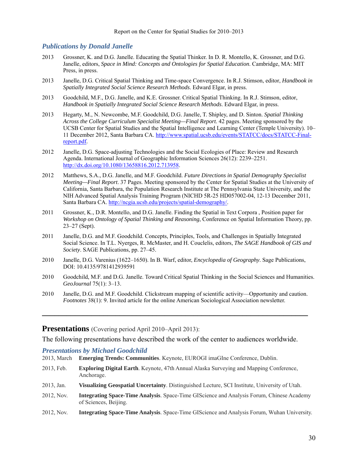#### *Publications by Donald Janelle*

- 2013 Grossner, K. and D.G. Janelle. Educating the Spatial Thinker. In D. R. Montello, K. Grossner, and D.G. Janelle, editors, *Space in Mind: Concepts and Ontologies for Spatial Education*. Cambridge, MA: MIT Press, in press.
- 2013 Janelle, D.G. Critical Spatial Thinking and Time-space Convergence. In R.J. Stimson, editor, *Handbook in Spatially Integrated Social Science Research Methods*. Edward Elgar, in press.
- 2013 Goodchild, M.F., D.G. Janelle, and K.E. Grossner. Critical Spatial Thinking. In R.J. Stimson, editor, *Handbook in Spatially Integrated Social Science Research Methods*. Edward Elgar, in press.
- 2013 Hegarty, M., N. Newcombe, M.F. Goodchild, D.G. Janelle, T. Shipley, and D. Sinton. *Spatial Thinking Across the College Curriculum Specialist Meeting—Final Report*. 42 pages. Meeting sponsored by the UCSB Center for Spatial Studies and the Spatial Intelligence and Learning Center (Temple University). 10– 11 December 2012, Santa Barbara CA. http://www.spatial.ucsb.edu/events/STATCC/docs/STATCC-Finalreport.pdf.
- 2012 Janelle, D.G. Space-adjusting Technologies and the Social Ecologies of Place: Review and Research Agenda. International Journal of Geographic Information Sciences 26(12): 2239–2251. http://dx.doi.org/10.1080/13658816.2012.713958.
- 2012 Matthews, S.A., D.G. Janelle, and M.F. Goodchild. *Future Directions in Spatial Demography Specialist Meeting—Final Report*. 37 Pages. Meeting sponsored by the Center for Spatial Studies at the University of California, Santa Barbara, the Population Research Institute at The Pennsylvania State University, and the NIH Advanced Spatial Analysis Training Program (NICHD 5R-25 HD057002-04, 12-13 December 2011, Santa Barbara CA. http://ncgia.ucsb.edu/projects/spatial-demography/.
- 2011 Grossner, K., D.R. Montello, and D.G. Janelle. Finding the Spatial in Text Corpora , Position paper for *Workshop on Ontology of Spatial Thinking and Reasoning*, Conference on Spatial Information Theory, pp. 23–27 (Sept).
- 2011 Janelle, D.G. and M.F. Goodchild. Concepts, Principles, Tools, and Challenges in Spatially Integrated Social Science. In T.L. Nyerges, R. McMaster, and H. Couclelis, editors, *The SAGE Handbook of GIS and Society*. SAGE Publications, pp. 27–45.
- 2010 Janelle, D.G. Varenius (1622–1650). In B. Warf, editor, *Encyclopedia of Geography*. Sage Publications, DOI: 10.4135/9781412939591
- 2010 Goodchild, M.F. and D.G. Janelle. Toward Critical Spatial Thinking in the Social Sciences and Humanities. *GeoJournal* 75(1): 3–13.
- 2010 Janelle, D.G. and M.F. Goodchild. Clickstream mapping of scientific activity—Opportunity and caution. *Footnotes* 38(1): 9. Invited article for the online American Sociological Association newsletter.

**\_\_\_\_\_\_\_\_\_\_\_\_\_\_\_\_\_\_\_\_\_\_\_\_\_\_\_\_\_\_\_\_\_\_\_\_\_\_\_\_\_\_\_\_\_\_\_\_\_\_\_\_\_\_\_\_\_\_\_\_\_\_\_\_\_** 

#### **Presentations** (Covering period April 2010–April 2013):

The following presentations have described the work of the center to audiences worldwide.

# *Presentations by Michael Goodchild*

| 2013. March | <b>Emerging Trends: Communities</b> . Keynote, EUROGI imagine Conference, Dublin.                                         |
|-------------|---------------------------------------------------------------------------------------------------------------------------|
| 2013, Feb.  | <b>Exploring Digital Earth.</b> Keynote, 47th Annual Alaska Surveying and Mapping Conference,<br>Anchorage.               |
| 2013, Jan.  | Visualizing Geospatial Uncertainty. Distinguished Lecture, SCI Institute, University of Utah.                             |
| 2012, Nov.  | <b>Integrating Space-Time Analysis.</b> Space-Time GIScience and Analysis Forum, Chinese Academy<br>of Sciences, Beijing. |
| 2012, Nov.  | <b>Integrating Space-Time Analysis.</b> Space-Time GIScience and Analysis Forum, Wuhan University.                        |

2013, March **Emerging Trends: Communities**. Keynote, EUROGI imaGIne Conference, Dublin.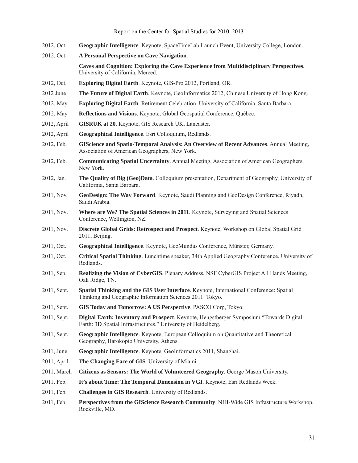- 2012, Oct. **Geographic Intelligence**. Keynote, SpaceTimeLab Launch Event, University College, London.
- 2012, Oct. **A Personal Perspective on Cave Navigation**.

**Caves and Cognition: Exploring the Cave Experience from Multidisciplinary Perspectives**. University of California, Merced.

- 2012, Oct. **Exploring Digital Earth**. Keynote, GIS-Pro 2012, Portland, OR.
- 2012 June **The Future of Digital Earth**. Keynote, GeoInformatics 2012, Chinese University of Hong Kong.
- 2012, May **Exploring Digital Earth**. Retirement Celebration, University of California, Santa Barbara.
- 2012, May **Reflections and Visions**. Keynote, Global Geospatial Conference, Québec.
- 2012, April **GISRUK at 20**. Keynote, GIS Research UK, Lancaster.
- 2012, April **Geographical Intelligence**. Esri Colloquium, Redlands.
- 2012, Feb. **GIScience and Spatio-Temporal Analysis: An Overview of Recent Advances**. Annual Meeting, Association of American Geographers, New York.
- 2012, Feb. **Communicating Spatial Uncertainty**. Annual Meeting, Association of American Geographers, New York.
- 2012, Jan. **The Quality of Big (Geo)Data**. Colloquium presentation, Department of Geography, University of California, Santa Barbara.
- 2011, Nov. **GeoDesign: The Way Forward**. Keynote, Saudi Planning and GeoDesign Conference, Riyadh, Saudi Arabia.
- 2011, Nov. **Where are We? The Spatial Sciences in 2011**. Keynote, Surveying and Spatial Sciences Conference, Wellington, NZ.
- 2011, Nov. **Discrete Global Grids: Retrospect and Prospect**. Keynote, Workshop on Global Spatial Grid 2011, Beijing.
- 2011, Oct. **Geographical Intelligence**. Keynote, GeoMundus Conference, Münster, Germany.
- 2011, Oct. **Critical Spatial Thinking**. Lunchtime speaker, 34th Applied Geography Conference, University of Redlands.
- 2011, Sep. **Realizing the Vision of CyberGIS**. Plenary Address, NSF CyberGIS Project All Hands Meeting, Oak Ridge, TN.
- 2011, Sept. **Spatial Thinking and the GIS User Interface**. Keynote, International Conference: Spatial Thinking and Geographic Information Sciences 2011. Tokyo.
- 2011, Sept. **GIS Today and Tomorrow: A US Perspective**. PASCO Corp, Tokyo.
- 2011, Sept. **Digital Earth: Inventory and Prospect**. Keynote, Hengstberger Symposium "Towards Digital Earth: 3D Spatial Infrastructures." University of Heidelberg.
- 2011, Sept. **Geographic Intelligence**. Keynote, European Colloquium on Quantitative and Theoretical Geography, Harokopio University, Athens.
- 2011, June **Geographic Intelligence**. Keynote, GeoInformatics 2011, Shanghai.
- 2011, April **The Changing Face of GIS**. University of Miami.
- 2011, March **Citizens as Sensors: The World of Volunteered Geography**. George Mason University.
- 2011, Feb. **It's about Time: The Temporal Dimension in VGI**. Keynote, Esri Redlands Week.
- 2011, Feb. **Challenges in GIS Research**. University of Redlands.
- 2011, Feb. **Perspectives from the GIScience Research Community**. NIH-Wide GIS Infrastructure Workshop, Rockville, MD.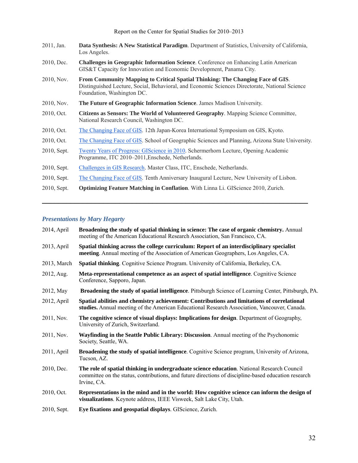Report on the Center for Spatial Studies for 2010–2013

| 2011, Jan.  | Data Synthesis: A New Statistical Paradigm. Department of Statistics, University of California,<br>Los Angeles.                                                                                                |
|-------------|----------------------------------------------------------------------------------------------------------------------------------------------------------------------------------------------------------------|
| 2010, Dec.  | <b>Challenges in Geographic Information Science</b> . Conference on Enhancing Latin American<br>GIS&T Capacity for Innovation and Economic Development, Panama City.                                           |
| 2010, Nov.  | From Community Mapping to Critical Spatial Thinking: The Changing Face of GIS.<br>Distinguished Lecture, Social, Behavioral, and Economic Sciences Directorate, National Science<br>Foundation, Washington DC. |
| 2010, Nov.  | The Future of Geographic Information Science. James Madison University.                                                                                                                                        |
| 2010, Oct.  | Citizens as Sensors: The World of Volunteered Geography. Mapping Science Committee,<br>National Research Council, Washington DC.                                                                               |
| 2010, Oct.  | The Changing Face of GIS. 12th Japan-Korea International Symposium on GIS, Kyoto.                                                                                                                              |
| 2010, Oct.  | The Changing Face of GIS. School of Geographic Sciences and Planning, Arizona State University.                                                                                                                |
| 2010, Sept. | Twenty Years of Progress: GIScience in 2010. Schermerhorn Lecture, Opening Academic<br>Programme, ITC 2010–2011, Enschede, Netherlands.                                                                        |
| 2010, Sept. | Challenges in GIS Research. Master Class, ITC, Enschede, Netherlands.                                                                                                                                          |
| 2010, Sept. | The Changing Face of GIS. Tenth Anniversary Inaugural Lecture, New University of Lisbon.                                                                                                                       |
| 2010, Sept. | <b>Optimizing Feature Matching in Conflation.</b> With Linna Li. GIScience 2010, Zurich.                                                                                                                       |

**\_\_\_\_\_\_\_\_\_\_\_\_\_\_\_\_\_\_\_\_\_\_\_\_\_\_\_\_\_\_\_\_\_\_\_\_\_\_\_\_\_\_\_\_\_\_\_\_\_\_\_\_\_\_\_\_\_\_\_\_\_\_\_\_\_** 

#### *Presentations by Mary Hegarty*

| 2014, April | Broadening the study of spatial thinking in science: The case of organic chemistry. Annual<br>meeting of the American Educational Research Association, San Francisco, CA.                                        |
|-------------|-------------------------------------------------------------------------------------------------------------------------------------------------------------------------------------------------------------------|
| 2013, April | Spatial thinking across the college curriculum: Report of an interdisciplinary specialist<br>meeting. Annual meeting of the Association of American Geographers, Los Angeles, CA.                                 |
| 2013, March | Spatial thinking. Cognitive Science Program. University of California, Berkeley, CA.                                                                                                                              |
| 2012, Aug.  | Meta-representational competence as an aspect of spatial intelligence. Cognitive Science<br>Conference, Sapporo, Japan.                                                                                           |
| 2012, May   | Broadening the study of spatial intelligence. Pittsburgh Science of Learning Center, Pittsburgh, PA.                                                                                                              |
| 2012, April | Spatial abilities and chemistry achievement: Contributions and limitations of correlational<br>studies. Annual meeting of the American Educational Research Association, Vancouver, Canada.                       |
| 2011, Nov.  | The cognitive science of visual displays: Implications for design. Department of Geography,<br>University of Zurich, Switzerland.                                                                                 |
| 2011, Nov.  | Wayfinding in the Seattle Public Library: Discussion. Annual meeting of the Psychonomic<br>Society, Seattle, WA.                                                                                                  |
| 2011, April | Broadening the study of spatial intelligence. Cognitive Science program, University of Arizona,<br>Tucson, AZ.                                                                                                    |
| 2010, Dec.  | The role of spatial thinking in undergraduate science education. National Research Council<br>committee on the status, contributions, and future directions of discipline-based education research<br>Irvine, CA. |
| 2010, Oct.  | Representations in the mind and in the world: How cognitive science can inform the design of<br>visualizations. Keynote address, IEEE Visweek, Salt Lake City, Utah.                                              |
| 2010, Sept. | Eye fixations and geospatial displays. GIScience, Zurich.                                                                                                                                                         |